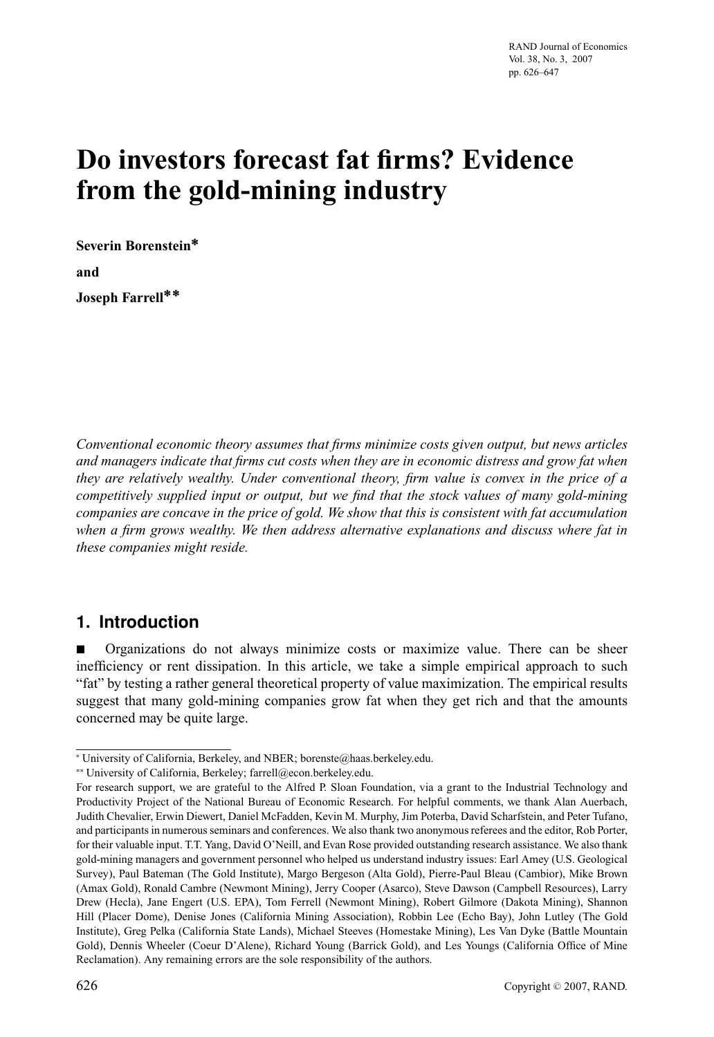# **Do investors forecast fat firms? Evidence from the gold-mining industry**

**Severin Borenstein∗ and Joseph Farrell∗∗**

*Conventional economic theory assumes that firms minimize costs given output, but news articles and managers indicate that firms cut costs when they are in economic distress and grow fat when they are relatively wealthy. Under conventional theory, firm value is convex in the price of a competitively supplied input or output, but we find that the stock values of many gold-mining companies are concave in the price of gold. We show that this is consistent with fat accumulation when a firm grows wealthy. We then address alternative explanations and discuss where fat in these companies might reside.*

# **1. Introduction**

 Organizations do not always minimize costs or maximize value. There can be sheer inefficiency or rent dissipation. In this article, we take a simple empirical approach to such "fat" by testing a rather general theoretical property of value maximization. The empirical results suggest that many gold-mining companies grow fat when they get rich and that the amounts concerned may be quite large.

<sup>∗</sup> University of California, Berkeley, and NBER; borenste@haas.berkeley.edu.

<sup>∗∗</sup> University of California, Berkeley; farrell@econ.berkeley.edu.

For research support, we are grateful to the Alfred P. Sloan Foundation, via a grant to the Industrial Technology and Productivity Project of the National Bureau of Economic Research. For helpful comments, we thank Alan Auerbach, Judith Chevalier, Erwin Diewert, Daniel McFadden, Kevin M. Murphy, Jim Poterba, David Scharfstein, and Peter Tufano, and participants in numerous seminars and conferences. We also thank two anonymous referees and the editor, Rob Porter, for their valuable input. T.T. Yang, David O'Neill, and Evan Rose provided outstanding research assistance. We also thank gold-mining managers and government personnel who helped us understand industry issues: Earl Amey (U.S. Geological Survey), Paul Bateman (The Gold Institute), Margo Bergeson (Alta Gold), Pierre-Paul Bleau (Cambior), Mike Brown (Amax Gold), Ronald Cambre (Newmont Mining), Jerry Cooper (Asarco), Steve Dawson (Campbell Resources), Larry Drew (Hecla), Jane Engert (U.S. EPA), Tom Ferrell (Newmont Mining), Robert Gilmore (Dakota Mining), Shannon Hill (Placer Dome), Denise Jones (California Mining Association), Robbin Lee (Echo Bay), John Lutley (The Gold Institute), Greg Pelka (California State Lands), Michael Steeves (Homestake Mining), Les Van Dyke (Battle Mountain Gold), Dennis Wheeler (Coeur D'Alene), Richard Young (Barrick Gold), and Les Youngs (California Office of Mine Reclamation). Any remaining errors are the sole responsibility of the authors.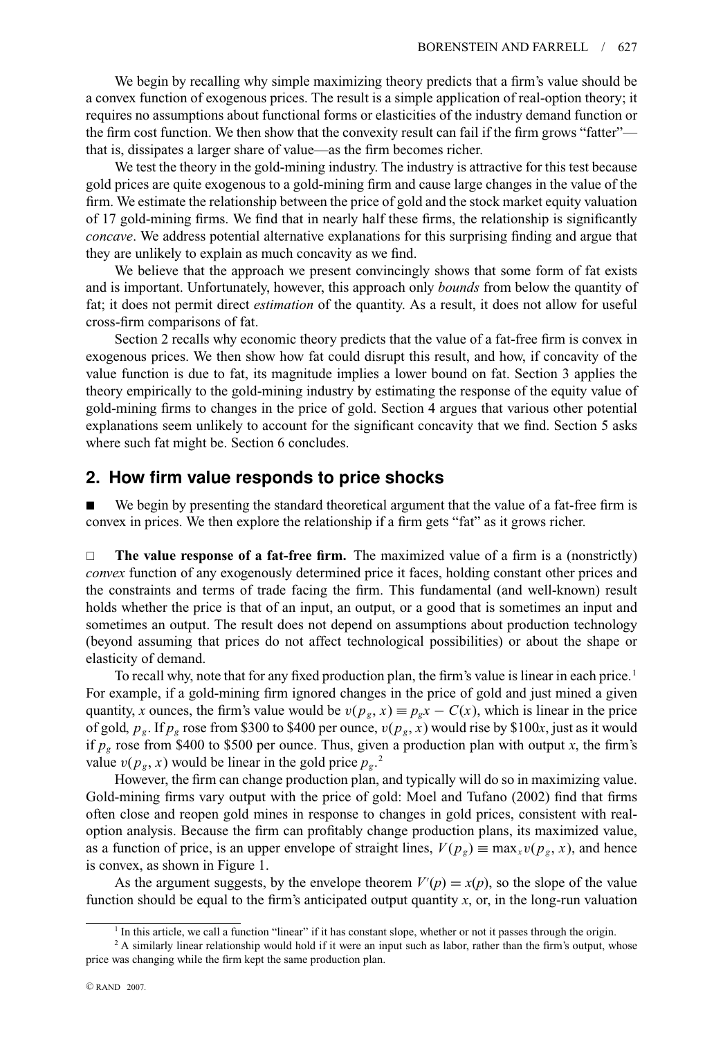We begin by recalling why simple maximizing theory predicts that a firm's value should be a convex function of exogenous prices. The result is a simple application of real-option theory; it requires no assumptions about functional forms or elasticities of the industry demand function or the firm cost function. We then show that the convexity result can fail if the firm grows "fatter" that is, dissipates a larger share of value—as the firm becomes richer.

We test the theory in the gold-mining industry. The industry is attractive for this test because gold prices are quite exogenous to a gold-mining firm and cause large changes in the value of the firm. We estimate the relationship between the price of gold and the stock market equity valuation of 17 gold-mining firms. We find that in nearly half these firms, the relationship is significantly *concave*. We address potential alternative explanations for this surprising finding and argue that they are unlikely to explain as much concavity as we find.

We believe that the approach we present convincingly shows that some form of fat exists and is important. Unfortunately, however, this approach only *bounds* from below the quantity of fat; it does not permit direct *estimation* of the quantity. As a result, it does not allow for useful cross-firm comparisons of fat.

Section 2 recalls why economic theory predicts that the value of a fat-free firm is convex in exogenous prices. We then show how fat could disrupt this result, and how, if concavity of the value function is due to fat, its magnitude implies a lower bound on fat. Section 3 applies the theory empirically to the gold-mining industry by estimating the response of the equity value of gold-mining firms to changes in the price of gold. Section 4 argues that various other potential explanations seem unlikely to account for the significant concavity that we find. Section 5 asks where such fat might be. Section 6 concludes.

### **2. How firm value responds to price shocks**

 We begin by presenting the standard theoretical argument that the value of a fat-free firm is convex in prices. We then explore the relationship if a firm gets "fat" as it grows richer.

 $\Box$  **The value response of a fat-free firm.** The maximized value of a firm is a (nonstrictly) *convex* function of any exogenously determined price it faces, holding constant other prices and the constraints and terms of trade facing the firm. This fundamental (and well-known) result holds whether the price is that of an input, an output, or a good that is sometimes an input and sometimes an output. The result does not depend on assumptions about production technology (beyond assuming that prices do not affect technological possibilities) or about the shape or elasticity of demand.

To recall why, note that for any fixed production plan, the firm's value is linear in each price.<sup>1</sup> For example, if a gold-mining firm ignored changes in the price of gold and just mined a given quantity, *x* ounces, the firm's value would be  $v(p_g, x) \equiv p_g x - C(x)$ , which is linear in the price of gold,  $p_g$ . If  $p_g$  rose from \$300 to \$400 per ounce,  $v(p_g, x)$  would rise by \$100*x*, just as it would if  $p_g$  rose from \$400 to \$500 per ounce. Thus, given a production plan with output *x*, the firm's value  $v(p_g, x)$  would be linear in the gold price  $p_g^2$ .

However, the firm can change production plan, and typically will do so in maximizing value. Gold-mining firms vary output with the price of gold: Moel and Tufano (2002) find that firms often close and reopen gold mines in response to changes in gold prices, consistent with realoption analysis. Because the firm can profitably change production plans, its maximized value, as a function of price, is an upper envelope of straight lines,  $V(p_g) \equiv \max_x v(p_g, x)$ , and hence is convex, as shown in Figure 1.

As the argument suggests, by the envelope theorem  $V'(p) = x(p)$ , so the slope of the value function should be equal to the firm's anticipated output quantity *x*, or, in the long-run valuation

<sup>&</sup>lt;sup>1</sup> In this article, we call a function "linear" if it has constant slope, whether or not it passes through the origin.

<sup>&</sup>lt;sup>2</sup> A similarly linear relationship would hold if it were an input such as labor, rather than the firm's output, whose price was changing while the firm kept the same production plan.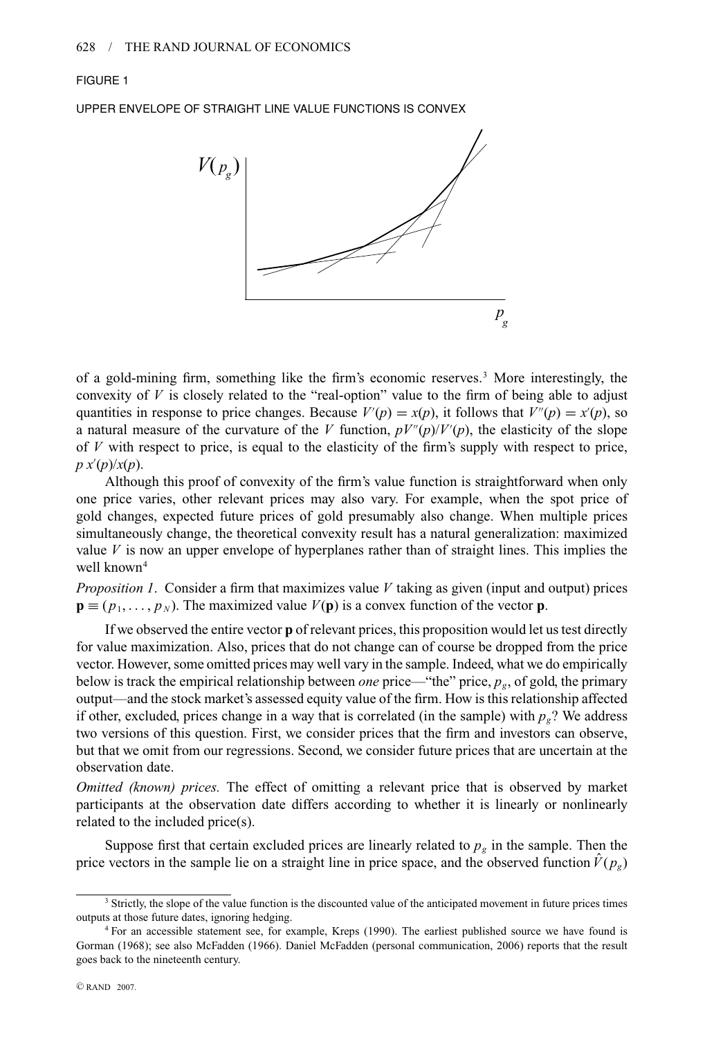#### FIGURE 1

UPPER ENVELOPE OF STRAIGHT LINE VALUE FUNCTIONS IS CONVEX



of a gold-mining firm, something like the firm's economic reserves.3 More interestingly, the convexity of *V* is closely related to the "real-option" value to the firm of being able to adjust quantities in response to price changes. Because  $V'(p) = x(p)$ , it follows that  $V''(p) = x'(p)$ , so a natural measure of the curvature of the *V* function,  $pV''(p)/V'(p)$ , the elasticity of the slope of *V* with respect to price, is equal to the elasticity of the firm's supply with respect to price, *p x* (*p*)/*x*(*p*).

Although this proof of convexity of the firm's value function is straightforward when only one price varies, other relevant prices may also vary. For example, when the spot price of gold changes, expected future prices of gold presumably also change. When multiple prices simultaneously change, the theoretical convexity result has a natural generalization: maximized value *V* is now an upper envelope of hyperplanes rather than of straight lines. This implies the well known<sup>4</sup>

*Proposition 1*. Consider a firm that maximizes value *V* taking as given (input and output) prices  $\mathbf{p} \equiv (p_1, \ldots, p_N)$ . The maximized value  $V(\mathbf{p})$  is a convex function of the vector **p**.

If we observed the entire vector **p** of relevant prices, this proposition would let us test directly for value maximization. Also, prices that do not change can of course be dropped from the price vector. However, some omitted prices may well vary in the sample. Indeed, what we do empirically below is track the empirical relationship between *one* price—"the" price, *pg*, of gold, the primary output—and the stock market's assessed equity value of the firm. How is this relationship affected if other, excluded, prices change in a way that is correlated (in the sample) with  $p_g$ ? We address two versions of this question. First, we consider prices that the firm and investors can observe, but that we omit from our regressions. Second, we consider future prices that are uncertain at the observation date.

*Omitted (known) prices.* The effect of omitting a relevant price that is observed by market participants at the observation date differs according to whether it is linearly or nonlinearly related to the included price(s).

Suppose first that certain excluded prices are linearly related to  $p<sub>g</sub>$  in the sample. Then the price vectors in the sample lie on a straight line in price space, and the observed function  $V(p_g)$ 

<sup>&</sup>lt;sup>3</sup> Strictly, the slope of the value function is the discounted value of the anticipated movement in future prices times outputs at those future dates, ignoring hedging.

<sup>&</sup>lt;sup>4</sup> For an accessible statement see, for example, Kreps (1990). The earliest published source we have found is Gorman (1968); see also McFadden (1966). Daniel McFadden (personal communication, 2006) reports that the result goes back to the nineteenth century.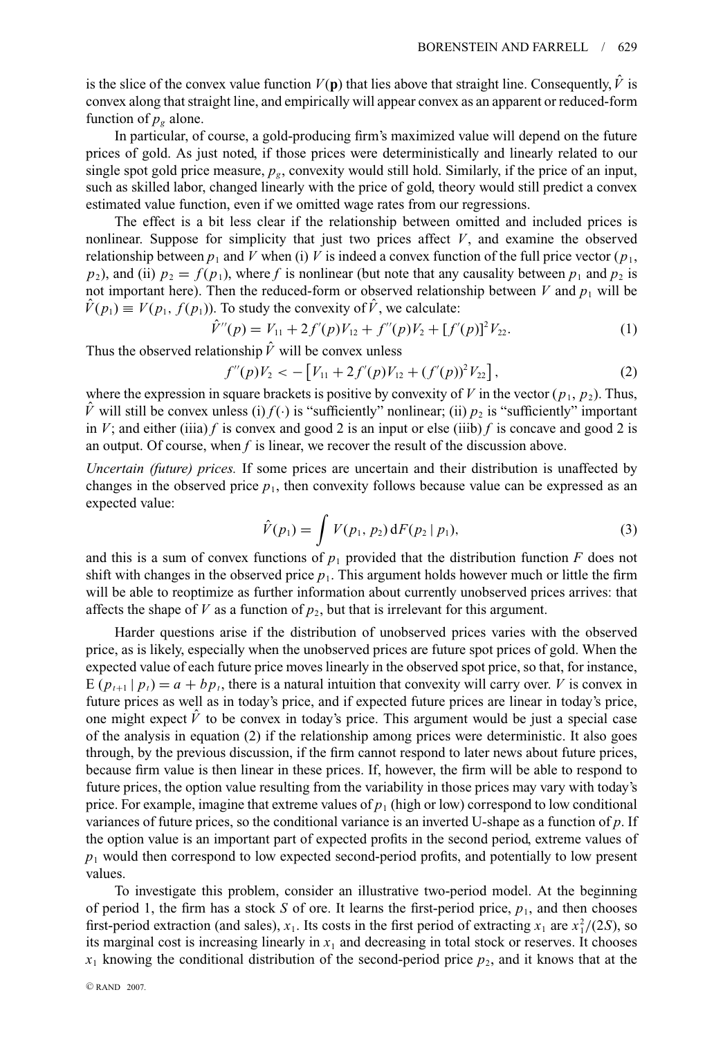is the slice of the convex value function  $V(\mathbf{p})$  that lies above that straight line. Consequently,  $\hat{V}$  is convex along that straight line, and empirically will appear convex as an apparent or reduced-form function of  $p_g$  alone.

In particular, of course, a gold-producing firm's maximized value will depend on the future prices of gold. As just noted, if those prices were deterministically and linearly related to our single spot gold price measure,  $p_g$ , convexity would still hold. Similarly, if the price of an input, such as skilled labor, changed linearly with the price of gold, theory would still predict a convex estimated value function, even if we omitted wage rates from our regressions.

The effect is a bit less clear if the relationship between omitted and included prices is nonlinear. Suppose for simplicity that just two prices affect *V*, and examine the observed relationship between  $p_1$  and *V* when (i) *V* is indeed a convex function of the full price vector  $(p_1, p_2)$  $p_2$ ), and (ii)  $p_2 = f(p_1)$ , where *f* is nonlinear (but note that any causality between  $p_1$  and  $p_2$  is not important here). Then the reduced-form or observed relationship between  $V$  and  $p_1$  will be  $V(p_1) \equiv V(p_1, f(p_1))$ . To study the convexity of  $\hat{V}$ , we calculate:

$$
\hat{V}''(p) = V_{11} + 2f'(p)V_{12} + f''(p)V_2 + [f'(p)]^2 V_{22}.
$$
\n(1)

Thus the observed relationship  $\hat{V}$  will be convex unless

$$
f''(p)V_2 < -[V_{11} + 2f'(p)V_{12} + (f'(p))^2V_{22}], \qquad (2)
$$

where the expression in square brackets is positive by convexity of *V* in the vector  $(p_1, p_2)$ . Thus, *V* will still be convex unless (i)  $f(\cdot)$  is "sufficiently" nonlinear; (ii)  $p_2$  is "sufficiently" important in *V*; and either (iiia) *f* is convex and good 2 is an input or else (iiib) *f* is concave and good 2 is an output. Of course, when *f* is linear, we recover the result of the discussion above.

*Uncertain (future) prices.* If some prices are uncertain and their distribution is unaffected by changes in the observed price  $p_1$ , then convexity follows because value can be expressed as an expected value:

$$
\hat{V}(p_1) = \int V(p_1, p_2) dF(p_2 | p_1), \tag{3}
$$

and this is a sum of convex functions of  $p_1$  provided that the distribution function  $F$  does not shift with changes in the observed price  $p_1$ . This argument holds however much or little the firm will be able to reoptimize as further information about currently unobserved prices arrives: that affects the shape of *V* as a function of  $p_2$ , but that is irrelevant for this argument.

Harder questions arise if the distribution of unobserved prices varies with the observed price, as is likely, especially when the unobserved prices are future spot prices of gold. When the expected value of each future price moves linearly in the observed spot price, so that, for instance,  $E(p_{t+1} | p_t) = a + bp_t$ , there is a natural intuition that convexity will carry over. *V* is convex in future prices as well as in today's price, and if expected future prices are linear in today's price, one might expect  $V$  to be convex in today's price. This argument would be just a special case of the analysis in equation (2) if the relationship among prices were deterministic. It also goes through, by the previous discussion, if the firm cannot respond to later news about future prices, because firm value is then linear in these prices. If, however, the firm will be able to respond to future prices, the option value resulting from the variability in those prices may vary with today's price. For example, imagine that extreme values of  $p_1$  (high or low) correspond to low conditional variances of future prices, so the conditional variance is an inverted U-shape as a function of *p*. If the option value is an important part of expected profits in the second period, extreme values of  $p_1$  would then correspond to low expected second-period profits, and potentially to low present values.

To investigate this problem, consider an illustrative two-period model. At the beginning of period 1, the firm has a stock  $S$  of ore. It learns the first-period price,  $p_1$ , and then chooses first-period extraction (and sales),  $x_1$ . Its costs in the first period of extracting  $x_1$  are  $x_1^2/(2S)$ , so its marginal cost is increasing linearly in  $x_1$  and decreasing in total stock or reserves. It chooses  $x_1$  knowing the conditional distribution of the second-period price  $p_2$ , and it knows that at the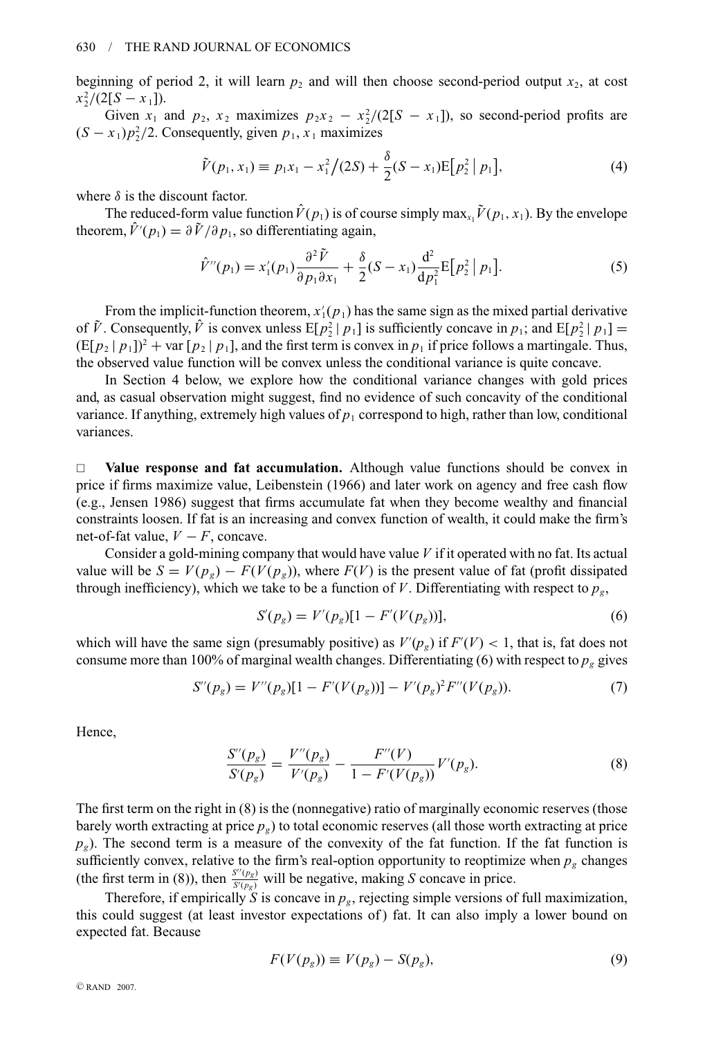beginning of period 2, it will learn  $p_2$  and will then choose second-period output  $x_2$ , at cost  $x_2^2/(2[S - x_1]).$ 

Given  $x_1$  and  $p_2$ ,  $x_2$  maximizes  $p_2x_2 - x_2^2/(2[S - x_1])$ , so second-period profits are  $(S - x_1)p_2^2/2$ . Consequently, given  $p_1, x_1$  maximizes

$$
\tilde{V}(p_1, x_1) \equiv p_1 x_1 - x_1^2 / (2S) + \frac{\delta}{2} (S - x_1) \mathbb{E} [p_2^2 | p_1], \tag{4}
$$

where  $\delta$  is the discount factor.

The reduced-form value function  $\hat{V}(p_1)$  is of course simply max<sub>*x*1</sub></sub> $\tilde{V}(p_1, x_1)$ . By the envelope theorem,  $\hat{V}'(p_1) = \partial \tilde{V}/\partial p_1$ , so differentiating again,

$$
\hat{V}''(p_1) = x_1'(p_1) \frac{\partial^2 \tilde{V}}{\partial p_1 \partial x_1} + \frac{\delta}{2} (S - x_1) \frac{\mathrm{d}^2}{\mathrm{d} p_1^2} \mathrm{E} [p_2^2 | p_1]. \tag{5}
$$

From the implicit-function theorem,  $x_1'(p_1)$  has the same sign as the mixed partial derivative of  $\tilde{V}$ . Consequently,  $\hat{V}$  is convex unless  $E[p_2^2 | p_1]$  is sufficiently concave in  $p_1$ ; and  $E[p_2^2 | p_1] =$  $(E[p_2 | p_1])^2$  + var  $[p_2 | p_1]$ , and the first term is convex in  $p_1$  if price follows a martingale. Thus, the observed value function will be convex unless the conditional variance is quite concave.

In Section 4 below, we explore how the conditional variance changes with gold prices and, as casual observation might suggest, find no evidence of such concavity of the conditional variance. If anything, extremely high values of  $p_1$  correspond to high, rather than low, conditional variances.

 $\Box$  **Value response and fat accumulation.** Although value functions should be convex in price if firms maximize value, Leibenstein (1966) and later work on agency and free cash flow (e.g., Jensen 1986) suggest that firms accumulate fat when they become wealthy and financial constraints loosen. If fat is an increasing and convex function of wealth, it could make the firm's net-of-fat value,  $V - F$ , concave.

Consider a gold-mining company that would have value *V* if it operated with no fat. Its actual value will be  $S = V(p_g) - F(V(p_g))$ , where  $F(V)$  is the present value of fat (profit dissipated through inefficiency), which we take to be a function of *V*. Differentiating with respect to  $p<sub>g</sub>$ ,

$$
S'(p_g) = V'(p_g)[1 - F'(V(p_g))],
$$
\n(6)

which will have the same sign (presumably positive) as  $V'(p<sub>g</sub>)$  if  $F'(V) < 1$ , that is, fat does not consume more than 100% of marginal wealth changes. Differentiating  $(6)$  with respect to  $p_g$  gives

$$
S''(p_g) = V''(p_g)[1 - F'(V(p_g))] - V'(p_g)^2 F''(V(p_g)).
$$
\n(7)

Hence,

$$
\frac{S''(p_g)}{S'(p_g)} = \frac{V''(p_g)}{V'(p_g)} - \frac{F''(V)}{1 - F'(V(p_g))}V'(p_g). \tag{8}
$$

The first term on the right in (8) is the (nonnegative) ratio of marginally economic reserves (those barely worth extracting at price  $p_g$ ) to total economic reserves (all those worth extracting at price  $p_g$ ). The second term is a measure of the convexity of the fat function. If the fat function is sufficiently convex, relative to the firm's real-option opportunity to reoptimize when  $p_g$  changes (the first term in (8)), then  $\frac{S''(p_g)}{S'(p_g)}$  will be negative, making *S* concave in price.

Therefore, if empirically *S* is concave in  $p<sub>g</sub>$ , rejecting simple versions of full maximization, this could suggest (at least investor expectations of) fat. It can also imply a lower bound on expected fat. Because

$$
F(V(p_g)) \equiv V(p_g) - S(p_g),\tag{9}
$$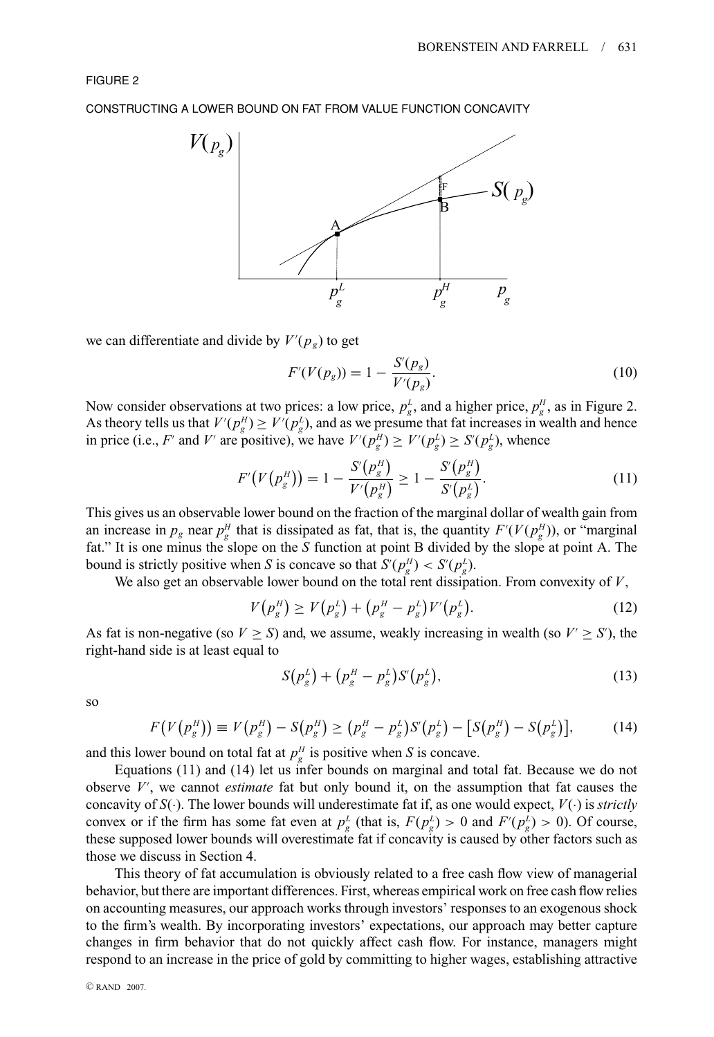FIGURE 2

CONSTRUCTING A LOWER BOUND ON FAT FROM VALUE FUNCTION CONCAVITY



we can differentiate and divide by  $V'(p_g)$  to get

$$
F'(V(p_g)) = 1 - \frac{S'(p_g)}{V'(p_g)}.
$$
\n(10)

Now consider observations at two prices: a low price,  $p_g^L$ , and a higher price,  $p_g^H$ , as in Figure 2. As theory tells us that  $V'(p_g^H) \ge V'(p_g^L)$ , and as we presume that fat increases in wealth and hence in price (i.e., *F'* and *V'* are positive), we have  $V'(p_g^H) \ge V'(p_g^L) \ge S'(p_g^L)$ , whence

$$
F'(V(p_g^H)) = 1 - \frac{S'(p_g^H)}{V'(p_g^H)} \ge 1 - \frac{S'(p_g^H)}{S'(p_g^L)}.
$$
\n(11)

This gives us an observable lower bound on the fraction of the marginal dollar of wealth gain from an increase in  $p_g$  near  $p_g^H$  that is dissipated as fat, that is, the quantity  $F'(V(p_g^H))$ , or "marginal fat." It is one minus the slope on the *S* function at point B divided by the slope at point A. The bound is strictly positive when *S* is concave so that  $S'(p_g^H) < S'(p_g^L)$ .

We also get an observable lower bound on the total rent dissipation. From convexity of *V*,

$$
V(p_g^H) \ge V(p_g^L) + (p_g^H - p_g^L)V'(p_g^L). \tag{12}
$$

As fat is non-negative (so  $V \ge S$ ) and, we assume, weakly increasing in wealth (so  $V' \ge S'$ ), the right-hand side is at least equal to

$$
S(p_g^L) + (p_g^H - p_g^L)S'(p_g^L),
$$
\n(13)

so

$$
F(V(p_g^H)) \equiv V(p_g^H) - S(p_g^H) \ge (p_g^H - p_g^L)S'(p_g^L) - [S(p_g^H) - S(p_g^L)],
$$
 (14)

and this lower bound on total fat at  $p_g^H$  is positive when *S* is concave.

Equations (11) and (14) let us infer bounds on marginal and total fat. Because we do not observe *V* , we cannot *estimate* fat but only bound it, on the assumption that fat causes the concavity of  $S(\cdot)$ . The lower bounds will underestimate fat if, as one would expect,  $V(\cdot)$  is *strictly* convex or if the firm has some fat even at  $p_g^L$  (that is,  $F(p_g^L) > 0$  and  $F'(p_g^L) > 0$ ). Of course, these supposed lower bounds will overestimate fat if concavity is caused by other factors such as those we discuss in Section 4.

This theory of fat accumulation is obviously related to a free cash flow view of managerial behavior, but there are important differences. First, whereas empirical work on free cash flow relies on accounting measures, our approach works through investors' responses to an exogenous shock to the firm's wealth. By incorporating investors' expectations, our approach may better capture changes in firm behavior that do not quickly affect cash flow. For instance, managers might respond to an increase in the price of gold by committing to higher wages, establishing attractive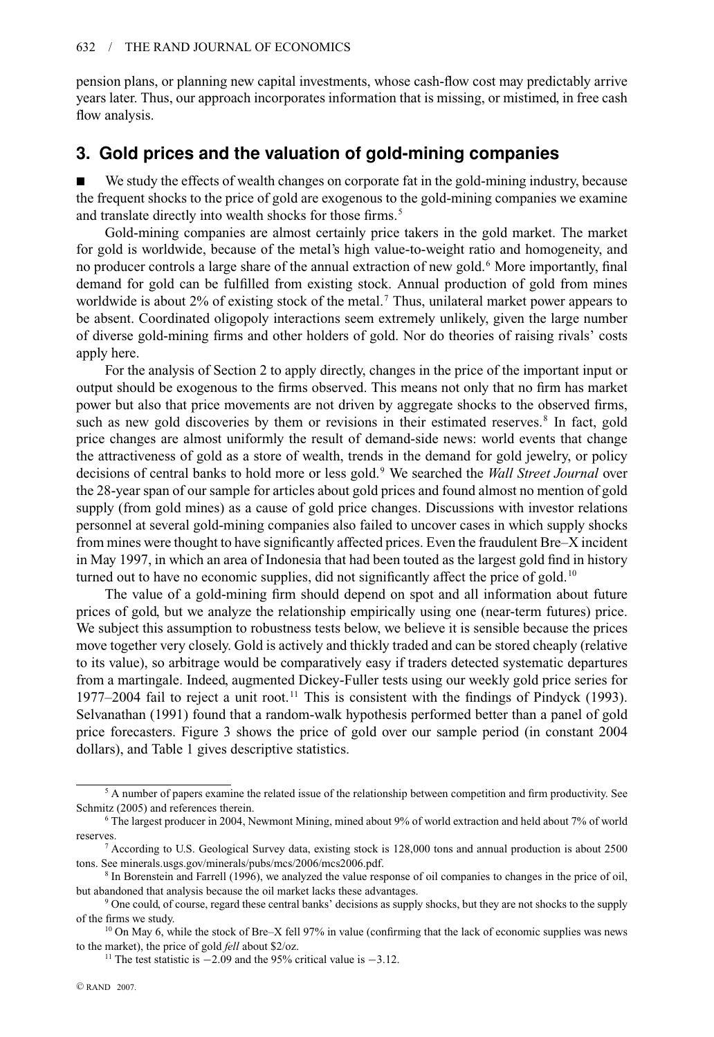pension plans, or planning new capital investments, whose cash-flow cost may predictably arrive years later. Thus, our approach incorporates information that is missing, or mistimed, in free cash flow analysis.

## **3. Gold prices and the valuation of gold-mining companies**

 We study the effects of wealth changes on corporate fat in the gold-mining industry, because the frequent shocks to the price of gold are exogenous to the gold-mining companies we examine and translate directly into wealth shocks for those firms.<sup>5</sup>

Gold-mining companies are almost certainly price takers in the gold market. The market for gold is worldwide, because of the metal's high value-to-weight ratio and homogeneity, and no producer controls a large share of the annual extraction of new gold.<sup>6</sup> More importantly, final demand for gold can be fulfilled from existing stock. Annual production of gold from mines worldwide is about 2% of existing stock of the metal.<sup>7</sup> Thus, unilateral market power appears to be absent. Coordinated oligopoly interactions seem extremely unlikely, given the large number of diverse gold-mining firms and other holders of gold. Nor do theories of raising rivals' costs apply here.

For the analysis of Section 2 to apply directly, changes in the price of the important input or output should be exogenous to the firms observed. This means not only that no firm has market power but also that price movements are not driven by aggregate shocks to the observed firms, such as new gold discoveries by them or revisions in their estimated reserves.<sup>8</sup> In fact, gold price changes are almost uniformly the result of demand-side news: world events that change the attractiveness of gold as a store of wealth, trends in the demand for gold jewelry, or policy decisions of central banks to hold more or less gold.9 We searched the *Wall Street Journal* over the 28-year span of our sample for articles about gold prices and found almost no mention of gold supply (from gold mines) as a cause of gold price changes. Discussions with investor relations personnel at several gold-mining companies also failed to uncover cases in which supply shocks from mines were thought to have significantly affected prices. Even the fraudulent Bre–X incident in May 1997, in which an area of Indonesia that had been touted as the largest gold find in history turned out to have no economic supplies, did not significantly affect the price of gold.<sup>10</sup>

The value of a gold-mining firm should depend on spot and all information about future prices of gold, but we analyze the relationship empirically using one (near-term futures) price. We subject this assumption to robustness tests below, we believe it is sensible because the prices move together very closely. Gold is actively and thickly traded and can be stored cheaply (relative to its value), so arbitrage would be comparatively easy if traders detected systematic departures from a martingale. Indeed, augmented Dickey-Fuller tests using our weekly gold price series for 1977–2004 fail to reject a unit root.<sup>11</sup> This is consistent with the findings of Pindyck (1993). Selvanathan (1991) found that a random-walk hypothesis performed better than a panel of gold price forecasters. Figure 3 shows the price of gold over our sample period (in constant 2004 dollars), and Table 1 gives descriptive statistics.

<sup>&</sup>lt;sup>5</sup> A number of papers examine the related issue of the relationship between competition and firm productivity. See Schmitz (2005) and references therein.

<sup>6</sup> The largest producer in 2004, Newmont Mining, mined about 9% of world extraction and held about 7% of world reserves.

<sup>7</sup> According to U.S. Geological Survey data, existing stock is 128,000 tons and annual production is about 2500 tons. See minerals.usgs.gov/minerals/pubs/mcs/2006/mcs2006.pdf.

<sup>8</sup> In Borenstein and Farrell (1996), we analyzed the value response of oil companies to changes in the price of oil, but abandoned that analysis because the oil market lacks these advantages.

<sup>&</sup>lt;sup>9</sup> One could, of course, regard these central banks' decisions as supply shocks, but they are not shocks to the supply of the firms we study.

<sup>&</sup>lt;sup>10</sup> On May 6, while the stock of Bre–X fell 97% in value (confirming that the lack of economic supplies was news to the market), the price of gold *fell* about \$2/oz.

<sup>&</sup>lt;sup>11</sup> The test statistic is  $-2.09$  and the 95% critical value is  $-3.12$ .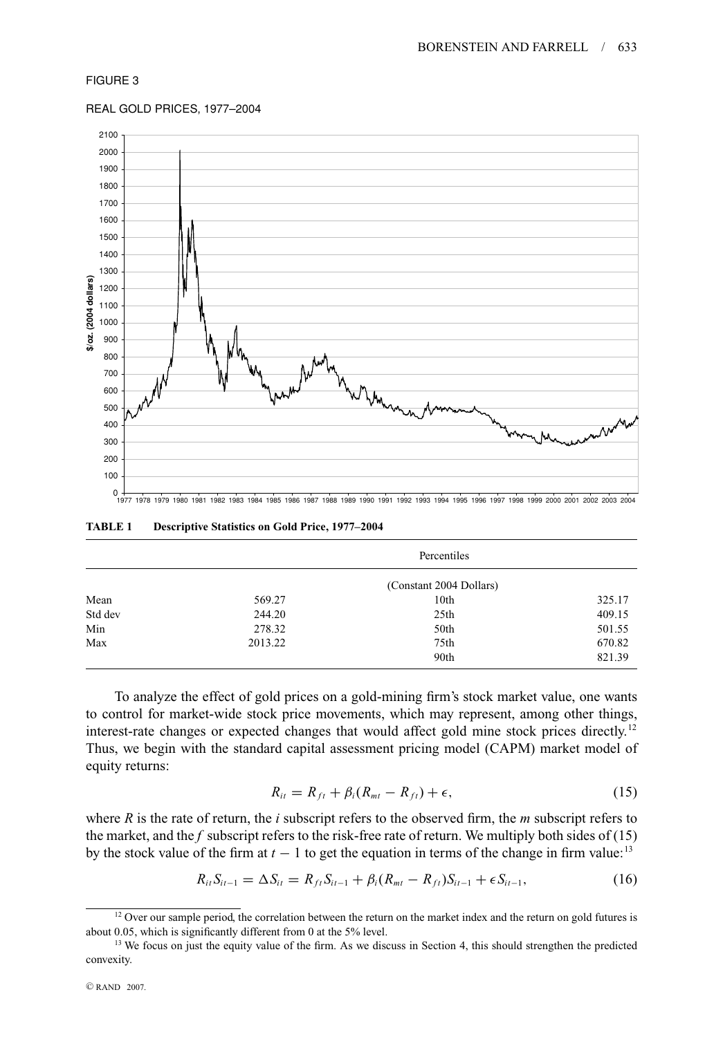FIGURE 3

2100 2000 1900 1800 1700 1600 1500 1400 1300 \$/oz. (2004 dollars) **\$/oz. (2004 dollars)** 1200 1100 1000 900 800 700 Mr mmmm 600 500 400 300 200  $100$ 0 1977 1978 1979 1980 1981 1982 1983 1984 1985 1986 1987 1988 1989 1990 1991 1992 1993 1994 1995 1996 1997 1998 1999 2000 2001 2002 2003 2004

#### REAL GOLD PRICES, 1977–2004

**TABLE 1 Descriptive Statistics on Gold Price, 1977–2004**

| Mean<br>Std dev<br>Min | Percentiles<br>(Constant 2004 Dollars) |        |                  |        |
|------------------------|----------------------------------------|--------|------------------|--------|
|                        |                                        |        |                  |        |
|                        |                                        | 244.20 | 25 <sub>th</sub> | 409.15 |
|                        | 278.32                                 | 50th   | 501.55           |        |
| Max                    | 2013.22                                | 75th   | 670.82           |        |
|                        |                                        | 90th   | 821.39           |        |

To analyze the effect of gold prices on a gold-mining firm's stock market value, one wants to control for market-wide stock price movements, which may represent, among other things, interest-rate changes or expected changes that would affect gold mine stock prices directly.<sup>12</sup> Thus, we begin with the standard capital assessment pricing model (CAPM) market model of equity returns:

$$
R_{it}=R_{ft}+\beta_i(R_{mt}-R_{ft})+\epsilon,\qquad\qquad(15)
$$

where *R* is the rate of return, the *i* subscript refers to the observed firm, the *m* subscript refers to the market, and the *f* subscript refers to the risk-free rate of return. We multiply both sides of (15) by the stock value of the firm at  $t - 1$  to get the equation in terms of the change in firm value:<sup>13</sup>

$$
R_{it}S_{it-1} = \Delta S_{it} = R_{ft}S_{it-1} + \beta_i(R_{mt} - R_{ft})S_{it-1} + \epsilon S_{it-1},
$$
\n(16)

 $12$  Over our sample period, the correlation between the return on the market index and the return on gold futures is about 0.05, which is significantly different from 0 at the 5% level.

<sup>&</sup>lt;sup>13</sup> We focus on just the equity value of the firm. As we discuss in Section 4, this should strengthen the predicted convexity.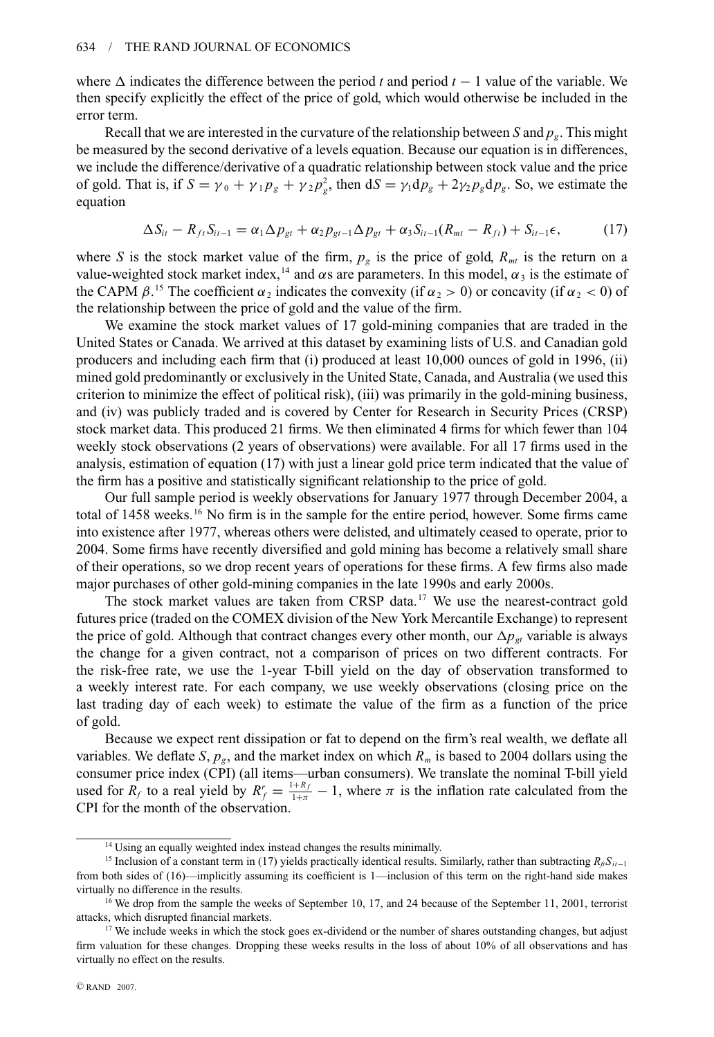where  $\Delta$  indicates the difference between the period *t* and period  $t - 1$  value of the variable. We then specify explicitly the effect of the price of gold, which would otherwise be included in the error term.

Recall that we are interested in the curvature of the relationship between *S* and  $p_g$ . This might be measured by the second derivative of a levels equation. Because our equation is in differences, we include the difference/derivative of a quadratic relationship between stock value and the price of gold. That is, if  $S = \gamma_0 + \gamma_1 p_g + \gamma_2 p_g^2$ , then  $dS = \gamma_1 dp_g + 2\gamma_2 p_g dp_g$ . So, we estimate the equation

$$
\Delta S_{it} - R_{ft} S_{it-1} = \alpha_1 \Delta p_{gt} + \alpha_2 p_{gt-1} \Delta p_{gt} + \alpha_3 S_{it-1} (R_{mt} - R_{ft}) + S_{it-1} \epsilon, \qquad (17)
$$

where *S* is the stock market value of the firm,  $p_g$  is the price of gold,  $R_{m}$  is the return on a value-weighted stock market index,<sup>14</sup> and  $\alpha$ s are parameters. In this model,  $\alpha_3$  is the estimate of the CAPM  $\beta$ .<sup>15</sup> The coefficient  $\alpha_2$  indicates the convexity (if  $\alpha_2 > 0$ ) or concavity (if  $\alpha_2 < 0$ ) of the relationship between the price of gold and the value of the firm.

We examine the stock market values of 17 gold-mining companies that are traded in the United States or Canada. We arrived at this dataset by examining lists of U.S. and Canadian gold producers and including each firm that (i) produced at least 10,000 ounces of gold in 1996, (ii) mined gold predominantly or exclusively in the United State, Canada, and Australia (we used this criterion to minimize the effect of political risk), (iii) was primarily in the gold-mining business, and (iv) was publicly traded and is covered by Center for Research in Security Prices (CRSP) stock market data. This produced 21 firms. We then eliminated 4 firms for which fewer than 104 weekly stock observations (2 years of observations) were available. For all 17 firms used in the analysis, estimation of equation (17) with just a linear gold price term indicated that the value of the firm has a positive and statistically significant relationship to the price of gold.

Our full sample period is weekly observations for January 1977 through December 2004, a total of  $1458$  weeks.<sup>16</sup> No firm is in the sample for the entire period, however. Some firms came into existence after 1977, whereas others were delisted, and ultimately ceased to operate, prior to 2004. Some firms have recently diversified and gold mining has become a relatively small share of their operations, so we drop recent years of operations for these firms. A few firms also made major purchases of other gold-mining companies in the late 1990s and early 2000s.

The stock market values are taken from CRSP data.<sup>17</sup> We use the nearest-contract gold futures price (traded on the COMEX division of the New York Mercantile Exchange) to represent the price of gold. Although that contract changes every other month, our  $\Delta p_{gt}$  variable is always the change for a given contract, not a comparison of prices on two different contracts. For the risk-free rate, we use the 1-year T-bill yield on the day of observation transformed to a weekly interest rate. For each company, we use weekly observations (closing price on the last trading day of each week) to estimate the value of the firm as a function of the price of gold.

Because we expect rent dissipation or fat to depend on the firm's real wealth, we deflate all variables. We deflate *S*,  $p_g$ , and the market index on which  $R_m$  is based to 2004 dollars using the consumer price index (CPI) (all items—urban consumers). We translate the nominal T-bill yield used for  $R_f$  to a real yield by  $R_f^r = \frac{1+R_f}{1+\pi} - 1$ , where  $\pi$  is the inflation rate calculated from the CPI for the month of the observation.

<sup>&</sup>lt;sup>14</sup> Using an equally weighted index instead changes the results minimally.

<sup>&</sup>lt;sup>15</sup> Inclusion of a constant term in (17) yields practically identical results. Similarly, rather than subtracting *R<sub>ft</sub>S<sub>it−1</sub>* from both sides of (16)—implicitly assuming its coefficient is 1—inclusion of this term on the right-hand side makes virtually no difference in the results.

<sup>&</sup>lt;sup>16</sup> We drop from the sample the weeks of September 10, 17, and 24 because of the September 11, 2001, terrorist attacks, which disrupted financial markets.

<sup>&</sup>lt;sup>17</sup> We include weeks in which the stock goes ex-dividend or the number of shares outstanding changes, but adjust firm valuation for these changes. Dropping these weeks results in the loss of about 10% of all observations and has virtually no effect on the results.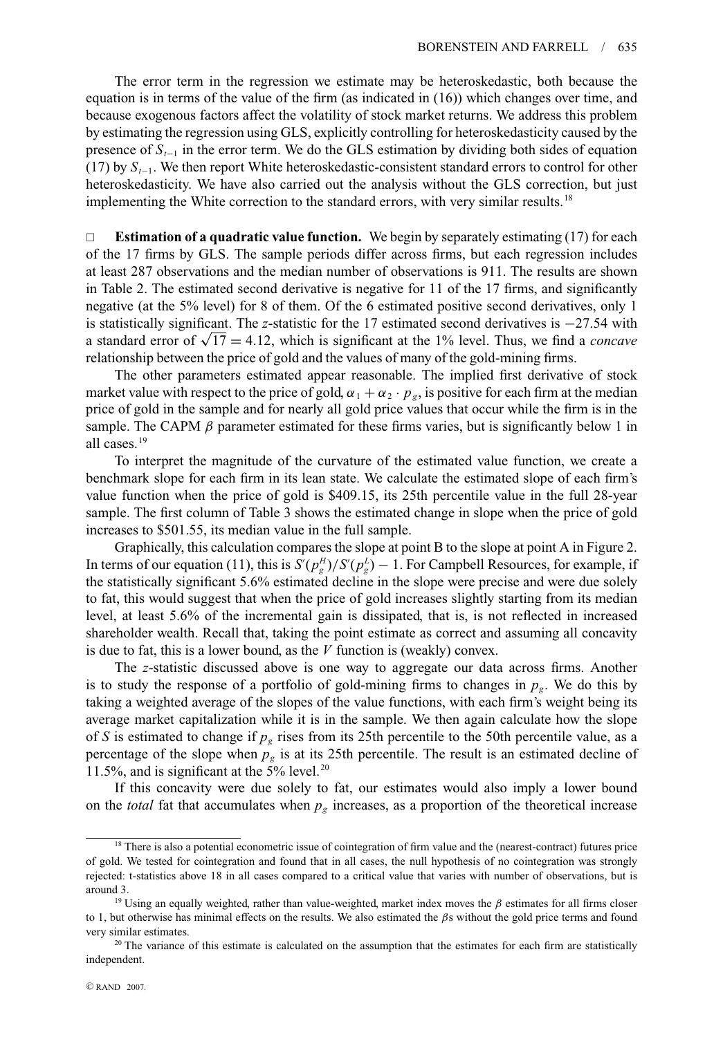The error term in the regression we estimate may be heteroskedastic, both because the equation is in terms of the value of the firm (as indicated in (16)) which changes over time, and because exogenous factors affect the volatility of stock market returns. We address this problem by estimating the regression using GLS, explicitly controlling for heteroskedasticity caused by the presence of *St*−<sup>1</sup> in the error term. We do the GLS estimation by dividing both sides of equation (17) by *St*−1. We then report White heteroskedastic-consistent standard errors to control for other heteroskedasticity. We have also carried out the analysis without the GLS correction, but just implementing the White correction to the standard errors, with very similar results.<sup>18</sup>

 $\Box$  **Estimation of a quadratic value function.** We begin by separately estimating (17) for each of the 17 firms by GLS. The sample periods differ across firms, but each regression includes at least 287 observations and the median number of observations is 911. The results are shown in Table 2. The estimated second derivative is negative for 11 of the 17 firms, and significantly negative (at the 5% level) for 8 of them. Of the 6 estimated positive second derivatives, only 1 is statistically significant. The *z*-statistic for the 17 estimated second derivatives is −27.54 with a standard error of  $\sqrt{17} = 4.12$ , which is significant at the 1% level. Thus, we find a *concave* relationship between the price of gold and the values of many of the gold-mining firms.

The other parameters estimated appear reasonable. The implied first derivative of stock market value with respect to the price of gold,  $\alpha_1 + \alpha_2 \cdot p_g$ , is positive for each firm at the median price of gold in the sample and for nearly all gold price values that occur while the firm is in the sample. The CAPM  $\beta$  parameter estimated for these firms varies, but is significantly below 1 in all cases.19

To interpret the magnitude of the curvature of the estimated value function, we create a benchmark slope for each firm in its lean state. We calculate the estimated slope of each firm's value function when the price of gold is \$409.15, its 25th percentile value in the full 28-year sample. The first column of Table 3 shows the estimated change in slope when the price of gold increases to \$501.55, its median value in the full sample.

Graphically, this calculation compares the slope at point B to the slope at point A in Figure 2. In terms of our equation (11), this is  $S'(p_g^H)/S'(p_g^L) - 1$ . For Campbell Resources, for example, if the statistically significant 5.6% estimated decline in the slope were precise and were due solely to fat, this would suggest that when the price of gold increases slightly starting from its median level, at least 5.6% of the incremental gain is dissipated, that is, is not reflected in increased shareholder wealth. Recall that, taking the point estimate as correct and assuming all concavity is due to fat, this is a lower bound, as the *V* function is (weakly) convex.

The *z*-statistic discussed above is one way to aggregate our data across firms. Another is to study the response of a portfolio of gold-mining firms to changes in  $p_g$ . We do this by taking a weighted average of the slopes of the value functions, with each firm's weight being its average market capitalization while it is in the sample. We then again calculate how the slope of *S* is estimated to change if  $p_g$  rises from its 25th percentile to the 50th percentile value, as a percentage of the slope when  $p<sub>g</sub>$  is at its 25th percentile. The result is an estimated decline of 11.5%, and is significant at the 5% level.<sup>20</sup>

If this concavity were due solely to fat, our estimates would also imply a lower bound on the *total* fat that accumulates when  $p<sub>g</sub>$  increases, as a proportion of the theoretical increase

<sup>&</sup>lt;sup>18</sup> There is also a potential econometric issue of cointegration of firm value and the (nearest-contract) futures price of gold. We tested for cointegration and found that in all cases, the null hypothesis of no cointegration was strongly rejected: t-statistics above 18 in all cases compared to a critical value that varies with number of observations, but is around 3.

<sup>&</sup>lt;sup>19</sup> Using an equally weighted, rather than value-weighted, market index moves the  $\beta$  estimates for all firms closer to 1, but otherwise has minimal effects on the results. We also estimated the  $\beta s$  without the gold price terms and found very similar estimates.

 $20$  The variance of this estimate is calculated on the assumption that the estimates for each firm are statistically independent.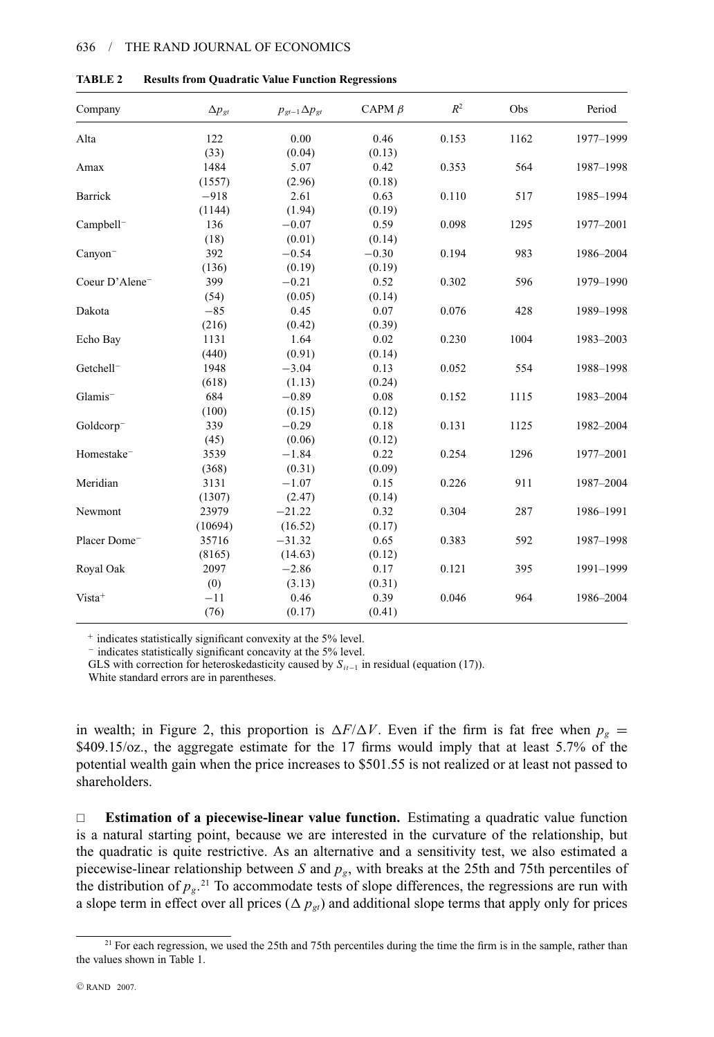#### 636 / THE RAND JOURNAL OF ECONOMICS

| Company                  | $\Delta p_{gt}$ | $p_{gt-1} \Delta p_{gt}$ | CAPM $\beta$ | $R^2$ | Obs  | Period    |
|--------------------------|-----------------|--------------------------|--------------|-------|------|-----------|
| Alta                     | 122             | 0.00                     | 0.46         | 0.153 | 1162 | 1977-1999 |
|                          | (33)            | (0.04)                   | (0.13)       |       |      |           |
| Amax                     | 1484            | 5.07                     | 0.42         | 0.353 | 564  | 1987-1998 |
|                          | (1557)          | (2.96)                   | (0.18)       |       |      |           |
| <b>Barrick</b>           | $-918$          | 2.61                     | 0.63         | 0.110 | 517  | 1985-1994 |
|                          | (1144)          | (1.94)                   | (0.19)       |       |      |           |
| Campbell <sup>-</sup>    | 136             | $-0.07$                  | 0.59         | 0.098 | 1295 | 1977-2001 |
|                          | (18)            | (0.01)                   | (0.14)       |       |      |           |
| Canyon <sup>-</sup>      | 392             | $-0.54$                  | $-0.30$      | 0.194 | 983  | 1986-2004 |
|                          | (136)           | (0.19)                   | (0.19)       |       |      |           |
| Coeur D'Alene-           | 399             | $-0.21$                  | 0.52         | 0.302 | 596  | 1979-1990 |
|                          | (54)            | (0.05)                   | (0.14)       |       |      |           |
| Dakota                   | $-85$           | 0.45                     | 0.07         | 0.076 | 428  | 1989-1998 |
|                          | (216)           | (0.42)                   | (0.39)       |       |      |           |
| Echo Bay                 | 1131            | 1.64                     | 0.02         | 0.230 | 1004 | 1983-2003 |
|                          | (440)           | (0.91)                   | (0.14)       |       |      |           |
| Getchell <sup>-</sup>    | 1948            | $-3.04$                  | 0.13         | 0.052 | 554  | 1988-1998 |
|                          | (618)           | (1.13)                   | (0.24)       |       |      |           |
| Glamis <sup>-</sup>      | 684             | $-0.89$                  | 0.08         | 0.152 | 1115 | 1983-2004 |
|                          | (100)           | (0.15)                   | (0.12)       |       |      |           |
| Goldcorp <sup>-</sup>    | 339             | $-0.29$                  | 0.18         | 0.131 | 1125 | 1982-2004 |
|                          | (45)            | (0.06)                   | (0.12)       |       |      |           |
| Homestake <sup>-</sup>   | 3539            | $-1.84$                  | 0.22         | 0.254 | 1296 | 1977-2001 |
|                          | (368)           | (0.31)                   | (0.09)       |       |      |           |
| Meridian                 | 3131            | $-1.07$                  | 0.15         | 0.226 | 911  | 1987-2004 |
|                          | (1307)          | (2.47)                   | (0.14)       |       |      |           |
| Newmont                  | 23979           | $-21.22$                 | 0.32         | 0.304 | 287  | 1986-1991 |
|                          | (10694)         | (16.52)                  | (0.17)       |       |      |           |
| Placer Dome <sup>-</sup> | 35716           | $-31.32$                 | 0.65         | 0.383 | 592  | 1987-1998 |
|                          | (8165)          | (14.63)                  | (0.12)       |       |      |           |
| Royal Oak                | 2097            | $-2.86$                  | 0.17         | 0.121 | 395  | 1991-1999 |
|                          | (0)             | (3.13)                   | (0.31)       |       |      |           |
| Vista <sup>+</sup>       | $-11$           | 0.46                     | 0.39         | 0.046 | 964  | 1986-2004 |
|                          | (76)            | (0.17)                   | (0.41)       |       |      |           |

**TABLE 2 Results from Quadratic Value Function Regressions**

<sup>+</sup> indicates statistically significant convexity at the 5% level.

<sup>−</sup> indicates statistically significant concavity at the 5% level.

GLS with correction for heteroskedasticity caused by  $S_{it-1}$  in residual (equation (17)).

White standard errors are in parentheses.

in wealth; in Figure 2, this proportion is  $\Delta F/\Delta V$ . Even if the firm is fat free when  $p_g =$ \$409.15/oz., the aggregate estimate for the 17 firms would imply that at least 5.7% of the potential wealth gain when the price increases to \$501.55 is not realized or at least not passed to shareholders.

 $\Box$  **Estimation of a piecewise-linear value function.** Estimating a quadratic value function is a natural starting point, because we are interested in the curvature of the relationship, but the quadratic is quite restrictive. As an alternative and a sensitivity test, we also estimated a piecewise-linear relationship between *S* and  $p<sub>g</sub>$ , with breaks at the 25th and 75th percentiles of the distribution of  $p_{g}$ <sup>21</sup>. To accommodate tests of slope differences, the regressions are run with a slope term in effect over all prices ( $\Delta p_{gt}$ ) and additional slope terms that apply only for prices

<sup>&</sup>lt;sup>21</sup> For each regression, we used the 25th and 75th percentiles during the time the firm is in the sample, rather than the values shown in Table 1.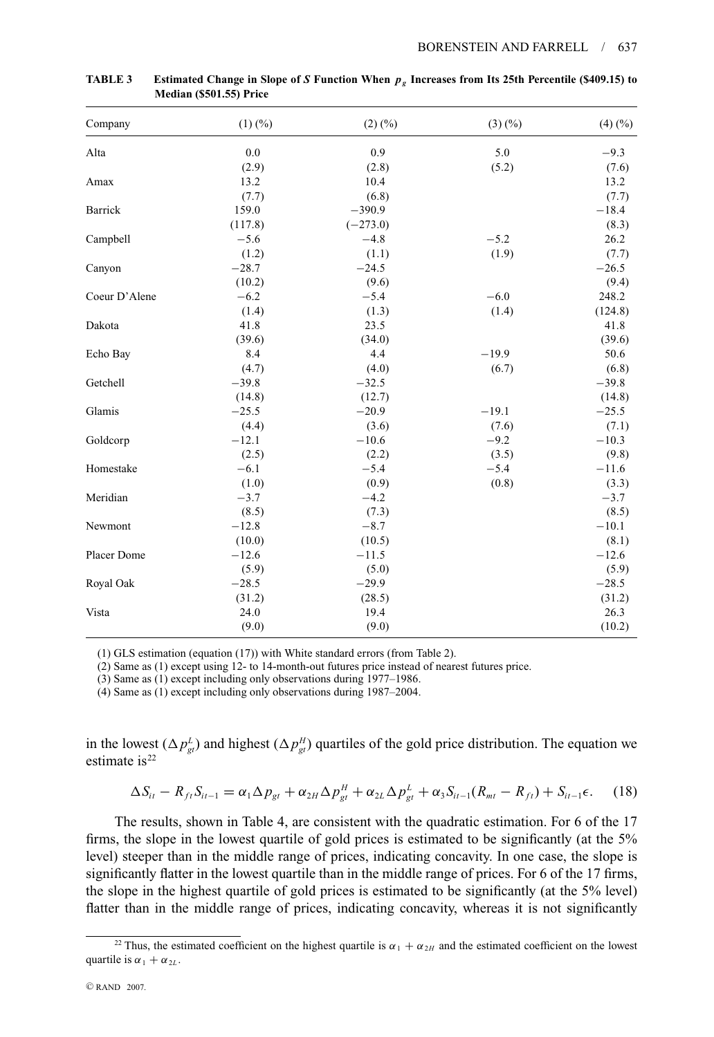| Company       | $(1)$ $(%$ | (2)(%)     | (3)(%)  | (4)(%   |
|---------------|------------|------------|---------|---------|
| Alta          | 0.0        | 0.9        | 5.0     | $-9.3$  |
|               | (2.9)      | (2.8)      | (5.2)   | (7.6)   |
| Amax          | 13.2       | 10.4       |         | 13.2    |
|               | (7.7)      | (6.8)      |         | (7.7)   |
| Barrick       | 159.0      | $-390.9$   |         | $-18.4$ |
|               | (117.8)    | $(-273.0)$ |         | (8.3)   |
| Campbell      | $-5.6$     | $-4.8$     | $-5.2$  | 26.2    |
|               | (1.2)      | (1.1)      | (1.9)   | (7.7)   |
| Canyon        | $-28.7$    | $-24.5$    |         | $-26.5$ |
|               | (10.2)     | (9.6)      |         | (9.4)   |
| Coeur D'Alene | $-6.2$     | $-5.4$     | $-6.0$  | 248.2   |
|               | (1.4)      | (1.3)      | (1.4)   | (124.8) |
| Dakota        | 41.8       | 23.5       |         | 41.8    |
|               | (39.6)     | (34.0)     |         | (39.6)  |
| Echo Bay      | 8.4        | 4.4        | $-19.9$ | 50.6    |
|               | (4.7)      | (4.0)      | (6.7)   | (6.8)   |
| Getchell      | $-39.8$    | $-32.5$    |         | $-39.8$ |
|               | (14.8)     | (12.7)     |         | (14.8)  |
| Glamis        | $-25.5$    | $-20.9$    | $-19.1$ | $-25.5$ |
|               | (4.4)      | (3.6)      | (7.6)   | (7.1)   |
| Goldcorp      | $-12.1$    | $-10.6$    | $-9.2$  | $-10.3$ |
|               | (2.5)      | (2.2)      | (3.5)   | (9.8)   |
| Homestake     | $-6.1$     | $-5.4$     | $-5.4$  | $-11.6$ |
|               | (1.0)      | (0.9)      | (0.8)   | (3.3)   |
| Meridian      | $-3.7$     | $-4.2$     |         | $-3.7$  |
|               | (8.5)      | (7.3)      |         | (8.5)   |
| Newmont       | $-12.8$    | $-8.7$     |         | $-10.1$ |
|               | (10.0)     | (10.5)     |         | (8.1)   |
| Placer Dome   | $-12.6$    | $-11.5$    |         | $-12.6$ |
|               | (5.9)      | (5.0)      |         | (5.9)   |
| Royal Oak     | $-28.5$    | $-29.9$    |         | $-28.5$ |
|               | (31.2)     | (28.5)     |         | (31.2)  |
| Vista         | 24.0       | 19.4       |         | 26.3    |
|               | (9.0)      | (9.0)      |         | (10.2)  |

**TABLE 3 Estimated Change in Slope of** *S* **Function When** *pg* **Increases from Its 25th Percentile (\$409.15) to Median (\$501.55) Price**

(1) GLS estimation (equation (17)) with White standard errors (from Table 2).

(2) Same as (1) except using 12- to 14-month-out futures price instead of nearest futures price.

(3) Same as (1) except including only observations during 1977–1986.

(4) Same as (1) except including only observations during 1987–2004.

in the lowest  $(\Delta p_{gt}^L)$  and highest  $(\Delta p_{gt}^H)$  quartiles of the gold price distribution. The equation we estimate  $is^{22}$ 

$$
\Delta S_{it} - R_{ft} S_{it-1} = \alpha_1 \Delta p_{gt} + \alpha_{2H} \Delta p_{gt}^H + \alpha_{2L} \Delta p_{gt}^L + \alpha_3 S_{it-1} (R_{mt} - R_{ft}) + S_{it-1} \epsilon. \tag{18}
$$

The results, shown in Table 4, are consistent with the quadratic estimation. For 6 of the 17 firms, the slope in the lowest quartile of gold prices is estimated to be significantly (at the 5% level) steeper than in the middle range of prices, indicating concavity. In one case, the slope is significantly flatter in the lowest quartile than in the middle range of prices. For 6 of the 17 firms, the slope in the highest quartile of gold prices is estimated to be significantly (at the 5% level) flatter than in the middle range of prices, indicating concavity, whereas it is not significantly

<sup>&</sup>lt;sup>22</sup> Thus, the estimated coefficient on the highest quartile is  $\alpha_1 + \alpha_{2H}$  and the estimated coefficient on the lowest quartile is  $\alpha_1 + \alpha_{2L}$ .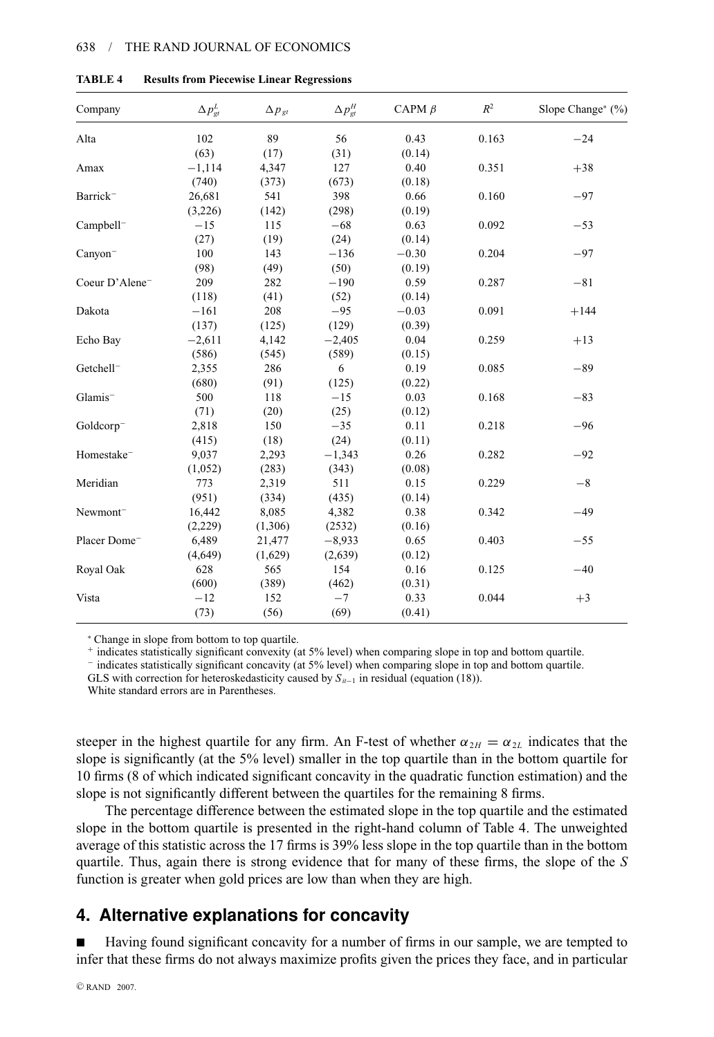#### 638 / THE RAND JOURNAL OF ECONOMICS

| Company                    | $\Delta p_{gt}^L$ | $\Delta p_{gt}$ | $\Delta p_{gt}^H$ | CAPM $\beta$ | $R^2$ | Slope Change* (%) |
|----------------------------|-------------------|-----------------|-------------------|--------------|-------|-------------------|
| Alta                       | 102               | 89              | 56                | 0.43         | 0.163 | $-24$             |
|                            | (63)              | (17)            | (31)              | (0.14)       |       |                   |
| Amax                       | $-1,114$          | 4,347           | 127               | 0.40         | 0.351 | $+38$             |
|                            | (740)             | (373)           | (673)             | (0.18)       |       |                   |
| Barrick <sup>-</sup>       | 26,681            | 541             | 398               | 0.66         | 0.160 | $-97$             |
|                            | (3,226)           | (142)           | (298)             | (0.19)       |       |                   |
| Campbell <sup>-</sup>      | $-15$             | 115             | $-68$             | 0.63         | 0.092 | $-53$             |
|                            | (27)              | (19)            | (24)              | (0.14)       |       |                   |
| Canyon <sup>-</sup>        | 100               | 143             | $-136$            | $-0.30$      | 0.204 | $-97$             |
|                            | (98)              | (49)            | (50)              | (0.19)       |       |                   |
| Coeur D'Alene <sup>-</sup> | 209               | 282             | $-190$            | 0.59         | 0.287 | $-81$             |
|                            | (118)             | (41)            | (52)              | (0.14)       |       |                   |
| Dakota                     | $-161$            | 208             | $-95$             | $-0.03$      | 0.091 | $+144$            |
|                            | (137)             | (125)           | (129)             | (0.39)       |       |                   |
| Echo Bay                   | $-2,611$          | 4,142           | $-2,405$          | 0.04         | 0.259 | $+13$             |
|                            | (586)             | (545)           | (589)             | (0.15)       |       |                   |
| Getchell <sup>-</sup>      | 2,355             | 286             | 6                 | 0.19         | 0.085 | $-89$             |
|                            | (680)             | (91)            | (125)             | (0.22)       |       |                   |
| Glamis <sup>-</sup>        | 500               | 118             | $-15$             | 0.03         | 0.168 | $-83$             |
|                            | (71)              | (20)            | (25)              | (0.12)       |       |                   |
| Goldcorp <sup>-</sup>      | 2,818             | 150             | $-35$             | 0.11         | 0.218 | $-96$             |
|                            | (415)             | (18)            | (24)              | (0.11)       |       |                   |
| Homestake <sup>-</sup>     | 9,037             | 2,293           | $-1,343$          | 0.26         | 0.282 | $-92$             |
|                            | (1,052)           | (283)           | (343)             | (0.08)       |       |                   |
| Meridian                   | 773               | 2,319           | 511               | 0.15         | 0.229 | $-8$              |
|                            | (951)             | (334)           | (435)             | (0.14)       |       |                   |
| Newmont <sup>-</sup>       | 16,442            | 8,085           | 4,382             | 0.38         | 0.342 | $-49$             |
|                            | (2,229)           | (1,306)         | (2532)            | (0.16)       |       |                   |
| Placer Dome <sup>-</sup>   | 6,489             | 21,477          | $-8,933$          | 0.65         | 0.403 | $-55$             |
|                            | (4,649)           | (1,629)         | (2,639)           | (0.12)       |       |                   |
| Royal Oak                  | 628               | 565             | 154               | 0.16         | 0.125 | $-40$             |
|                            | (600)             | (389)           | (462)             | (0.31)       |       |                   |
| Vista                      | $-12$             | 152             | $-7$              | 0.33         | 0.044 | $+3$              |
|                            | (73)              | (56)            | (69)              | (0.41)       |       |                   |

**TABLE 4 Results from Piecewise Linear Regressions**

<sup>∗</sup> Change in slope from bottom to top quartile.

<sup>+</sup> indicates statistically significant convexity (at 5% level) when comparing slope in top and bottom quartile.

<sup>−</sup> indicates statistically significant concavity (at 5% level) when comparing slope in top and bottom quartile.

GLS with correction for heteroskedasticity caused by  $S_{it-1}$  in residual (equation (18)).

White standard errors are in Parentheses.

steeper in the highest quartile for any firm. An F-test of whether  $\alpha_{2H} = \alpha_{2L}$  indicates that the slope is significantly (at the 5% level) smaller in the top quartile than in the bottom quartile for 10 firms (8 of which indicated significant concavity in the quadratic function estimation) and the slope is not significantly different between the quartiles for the remaining 8 firms.

The percentage difference between the estimated slope in the top quartile and the estimated slope in the bottom quartile is presented in the right-hand column of Table 4. The unweighted average of this statistic across the 17 firms is 39% less slope in the top quartile than in the bottom quartile. Thus, again there is strong evidence that for many of these firms, the slope of the *S* function is greater when gold prices are low than when they are high.

# **4. Alternative explanations for concavity**

 Having found significant concavity for a number of firms in our sample, we are tempted to infer that these firms do not always maximize profits given the prices they face, and in particular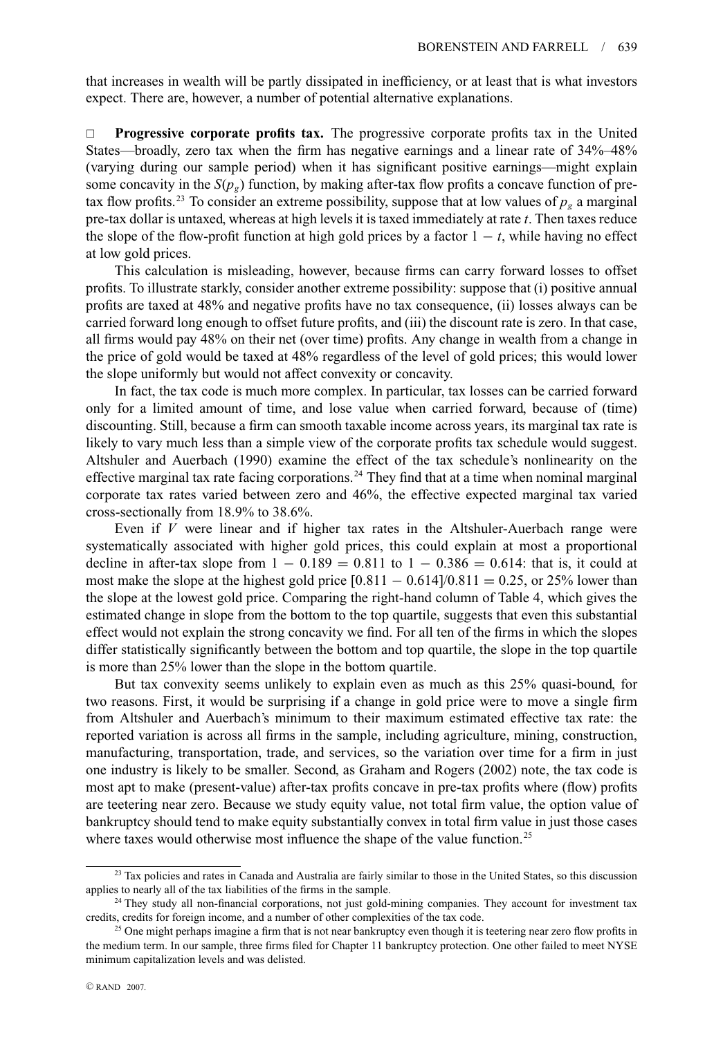that increases in wealth will be partly dissipated in inefficiency, or at least that is what investors expect. There are, however, a number of potential alternative explanations.

 $\Box$  **Progressive corporate profits tax.** The progressive corporate profits tax in the United States—broadly, zero tax when the firm has negative earnings and a linear rate of 34%–48% (varying during our sample period) when it has significant positive earnings—might explain some concavity in the  $S(p_g)$  function, by making after-tax flow profits a concave function of pretax flow profits.<sup>23</sup> To consider an extreme possibility, suppose that at low values of  $p_g$  a marginal pre-tax dollar is untaxed, whereas at high levels it is taxed immediately at rate *t*. Then taxes reduce the slope of the flow-profit function at high gold prices by a factor  $1 - t$ , while having no effect at low gold prices.

This calculation is misleading, however, because firms can carry forward losses to offset profits. To illustrate starkly, consider another extreme possibility: suppose that (i) positive annual profits are taxed at 48% and negative profits have no tax consequence, (ii) losses always can be carried forward long enough to offset future profits, and (iii) the discount rate is zero. In that case, all firms would pay 48% on their net (over time) profits. Any change in wealth from a change in the price of gold would be taxed at 48% regardless of the level of gold prices; this would lower the slope uniformly but would not affect convexity or concavity.

In fact, the tax code is much more complex. In particular, tax losses can be carried forward only for a limited amount of time, and lose value when carried forward, because of (time) discounting. Still, because a firm can smooth taxable income across years, its marginal tax rate is likely to vary much less than a simple view of the corporate profits tax schedule would suggest. Altshuler and Auerbach (1990) examine the effect of the tax schedule's nonlinearity on the effective marginal tax rate facing corporations.<sup>24</sup> They find that at a time when nominal marginal corporate tax rates varied between zero and 46%, the effective expected marginal tax varied cross-sectionally from 18.9% to 38.6%.

Even if *V* were linear and if higher tax rates in the Altshuler-Auerbach range were systematically associated with higher gold prices, this could explain at most a proportional decline in after-tax slope from  $1 - 0.189 = 0.811$  to  $1 - 0.386 = 0.614$ : that is, it could at most make the slope at the highest gold price  $[0.811 - 0.614]/0.811 = 0.25$ , or 25% lower than the slope at the lowest gold price. Comparing the right-hand column of Table 4, which gives the estimated change in slope from the bottom to the top quartile, suggests that even this substantial effect would not explain the strong concavity we find. For all ten of the firms in which the slopes differ statistically significantly between the bottom and top quartile, the slope in the top quartile is more than 25% lower than the slope in the bottom quartile.

But tax convexity seems unlikely to explain even as much as this 25% quasi-bound, for two reasons. First, it would be surprising if a change in gold price were to move a single firm from Altshuler and Auerbach's minimum to their maximum estimated effective tax rate: the reported variation is across all firms in the sample, including agriculture, mining, construction, manufacturing, transportation, trade, and services, so the variation over time for a firm in just one industry is likely to be smaller. Second, as Graham and Rogers (2002) note, the tax code is most apt to make (present-value) after-tax profits concave in pre-tax profits where (flow) profits are teetering near zero. Because we study equity value, not total firm value, the option value of bankruptcy should tend to make equity substantially convex in total firm value in just those cases where taxes would otherwise most influence the shape of the value function.<sup>25</sup>

<sup>&</sup>lt;sup>23</sup> Tax policies and rates in Canada and Australia are fairly similar to those in the United States, so this discussion applies to nearly all of the tax liabilities of the firms in the sample.

<sup>&</sup>lt;sup>24</sup> They study all non-financial corporations, not just gold-mining companies. They account for investment tax credits, credits for foreign income, and a number of other complexities of the tax code.

 $25$  One might perhaps imagine a firm that is not near bankruptcy even though it is teetering near zero flow profits in the medium term. In our sample, three firms filed for Chapter 11 bankruptcy protection. One other failed to meet NYSE minimum capitalization levels and was delisted.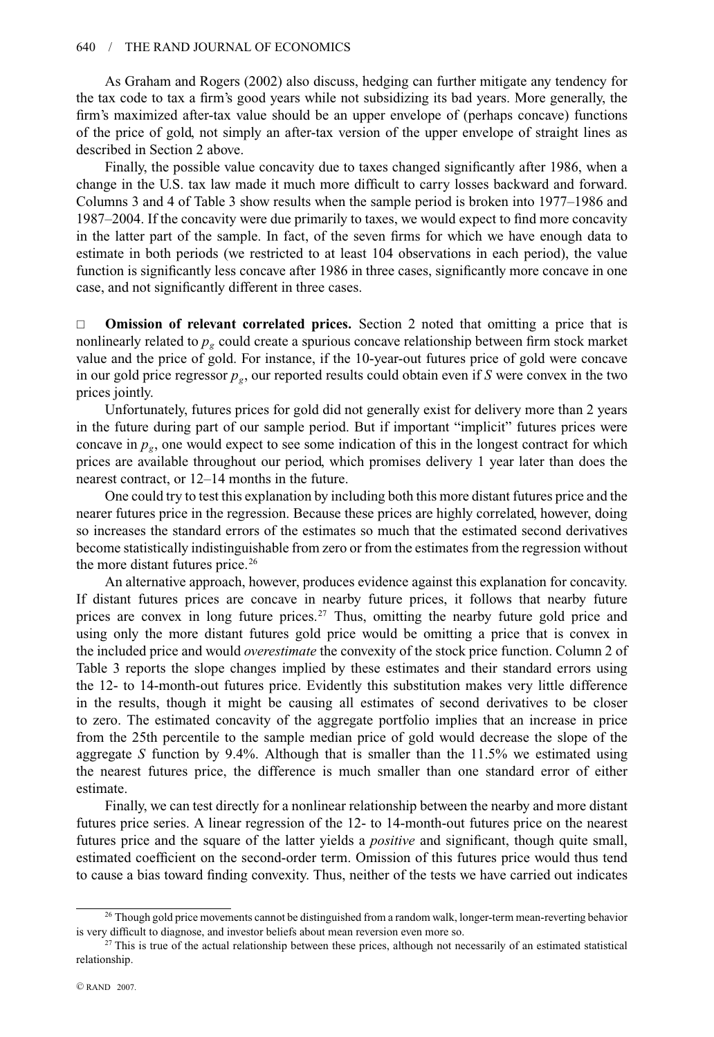As Graham and Rogers (2002) also discuss, hedging can further mitigate any tendency for the tax code to tax a firm's good years while not subsidizing its bad years. More generally, the firm's maximized after-tax value should be an upper envelope of (perhaps concave) functions of the price of gold, not simply an after-tax version of the upper envelope of straight lines as described in Section 2 above.

Finally, the possible value concavity due to taxes changed significantly after 1986, when a change in the U.S. tax law made it much more difficult to carry losses backward and forward. Columns 3 and 4 of Table 3 show results when the sample period is broken into 1977–1986 and 1987–2004. If the concavity were due primarily to taxes, we would expect to find more concavity in the latter part of the sample. In fact, of the seven firms for which we have enough data to estimate in both periods (we restricted to at least 104 observations in each period), the value function is significantly less concave after 1986 in three cases, significantly more concave in one case, and not significantly different in three cases.

 $\Box$ **Omission of relevant correlated prices.** Section 2 noted that omitting a price that is nonlinearly related to  $p_g$  could create a spurious concave relationship between firm stock market value and the price of gold. For instance, if the 10-year-out futures price of gold were concave in our gold price regressor  $p_g$ , our reported results could obtain even if *S* were convex in the two prices jointly.

Unfortunately, futures prices for gold did not generally exist for delivery more than 2 years in the future during part of our sample period. But if important "implicit" futures prices were concave in  $p_g$ , one would expect to see some indication of this in the longest contract for which prices are available throughout our period, which promises delivery 1 year later than does the nearest contract, or 12–14 months in the future.

One could try to test this explanation by including both this more distant futures price and the nearer futures price in the regression. Because these prices are highly correlated, however, doing so increases the standard errors of the estimates so much that the estimated second derivatives become statistically indistinguishable from zero or from the estimates from the regression without the more distant futures price. $26$ 

An alternative approach, however, produces evidence against this explanation for concavity. If distant futures prices are concave in nearby future prices, it follows that nearby future prices are convex in long future prices.<sup>27</sup> Thus, omitting the nearby future gold price and using only the more distant futures gold price would be omitting a price that is convex in the included price and would *overestimate* the convexity of the stock price function. Column 2 of Table 3 reports the slope changes implied by these estimates and their standard errors using the 12- to 14-month-out futures price. Evidently this substitution makes very little difference in the results, though it might be causing all estimates of second derivatives to be closer to zero. The estimated concavity of the aggregate portfolio implies that an increase in price from the 25th percentile to the sample median price of gold would decrease the slope of the aggregate *S* function by 9.4%. Although that is smaller than the 11.5% we estimated using the nearest futures price, the difference is much smaller than one standard error of either estimate.

Finally, we can test directly for a nonlinear relationship between the nearby and more distant futures price series. A linear regression of the 12- to 14-month-out futures price on the nearest futures price and the square of the latter yields a *positive* and significant, though quite small, estimated coefficient on the second-order term. Omission of this futures price would thus tend to cause a bias toward finding convexity. Thus, neither of the tests we have carried out indicates

<sup>&</sup>lt;sup>26</sup> Though gold price movements cannot be distinguished from a random walk, longer-term mean-reverting behavior is very difficult to diagnose, and investor beliefs about mean reversion even more so.

 $27$  This is true of the actual relationship between these prices, although not necessarily of an estimated statistical relationship.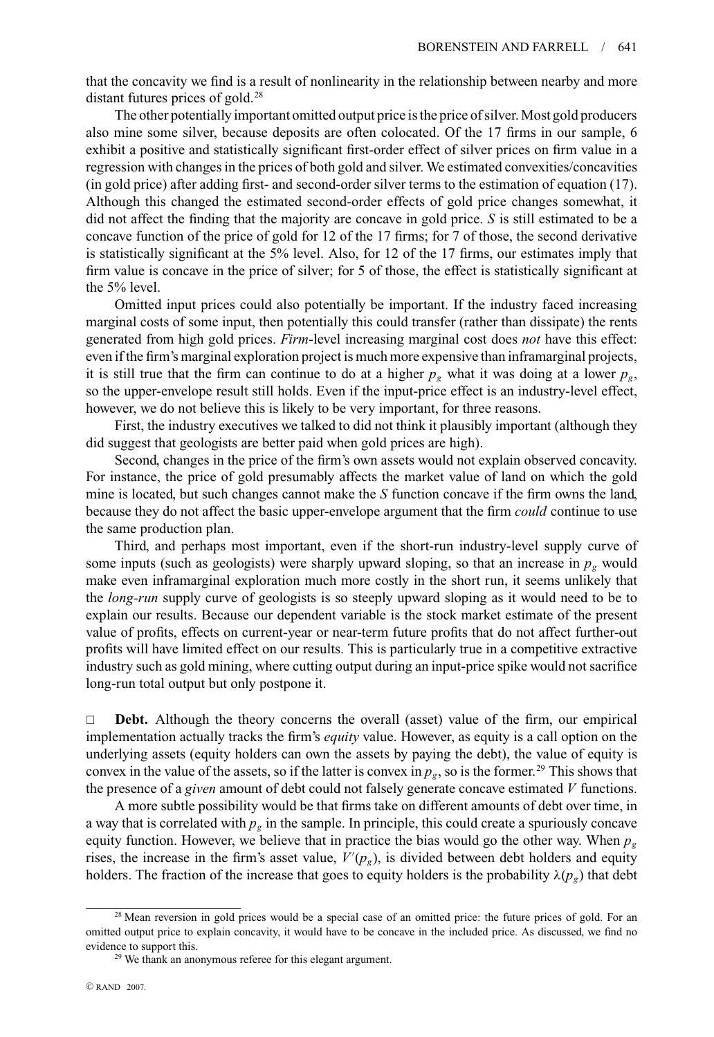that the concavity we find is a result of nonlinearity in the relationship between nearby and more distant futures prices of gold.<sup>28</sup>

The other potentially important omitted output price is the price of silver. Most gold producers also mine some silver, because deposits are often colocated. Of the 17 firms in our sample, 6 exhibit a positive and statistically significant first-order effect of silver prices on firm value in a regression with changes in the prices of both gold and silver. We estimated convexities/concavities (in gold price) after adding first- and second-order silver terms to the estimation of equation (17). Although this changed the estimated second-order effects of gold price changes somewhat, it did not affect the finding that the majority are concave in gold price. *S* is still estimated to be a concave function of the price of gold for 12 of the 17 firms; for 7 of those, the second derivative is statistically significant at the 5% level. Also, for 12 of the 17 firms, our estimates imply that firm value is concave in the price of silver; for 5 of those, the effect is statistically significant at the 5% level.

Omitted input prices could also potentially be important. If the industry faced increasing marginal costs of some input, then potentially this could transfer (rather than dissipate) the rents generated from high gold prices. *Firm*-level increasing marginal cost does *not* have this effect: even if the firm's marginal exploration project is much more expensive than inframarginal projects, it is still true that the firm can continue to do at a higher  $p_g$ , what it was doing at a lower  $p_g$ , so the upper-envelope result still holds. Even if the input-price effect is an industry-level effect, however, we do not believe this is likely to be very important, for three reasons.

First, the industry executives we talked to did not think it plausibly important (although they did suggest that geologists are better paid when gold prices are high).

Second, changes in the price of the firm's own assets would not explain observed concavity. For instance, the price of gold presumably affects the market value of land on which the gold mine is located, but such changes cannot make the *S* function concave if the firm owns the land, because they do not affect the basic upper-envelope argument that the firm *could* continue to use the same production plan.

Third, and perhaps most important, even if the short-run industry-level supply curve of some inputs (such as geologists) were sharply upward sloping, so that an increase in  $p_g$  would make even inframarginal exploration much more costly in the short run, it seems unlikely that the *long-run* supply curve of geologists is so steeply upward sloping as it would need to be to explain our results. Because our dependent variable is the stock market estimate of the present value of profits, effects on current-year or near-term future profits that do not affect further-out profits will have limited effect on our results. This is particularly true in a competitive extractive industry such as gold mining, where cutting output during an input-price spike would not sacrifice long-run total output but only postpone it.

 $\Box$  **Debt.** Although the theory concerns the overall (asset) value of the firm, our empirical implementation actually tracks the firm's *equity* value. However, as equity is a call option on the underlying assets (equity holders can own the assets by paying the debt), the value of equity is convex in the value of the assets, so if the latter is convex in  $p_g$ , so is the former.<sup>29</sup> This shows that the presence of a *given* amount of debt could not falsely generate concave estimated *V* functions.

A more subtle possibility would be that firms take on different amounts of debt over time, in a way that is correlated with  $p<sub>e</sub>$  in the sample. In principle, this could create a spuriously concave equity function. However, we believe that in practice the bias would go the other way. When  $p_g$ rises, the increase in the firm's asset value,  $V'(p_g)$ , is divided between debt holders and equity holders. The fraction of the increase that goes to equity holders is the probability  $\lambda(p_g)$  that debt

<sup>&</sup>lt;sup>28</sup> Mean reversion in gold prices would be a special case of an omitted price: the future prices of gold. For an omitted output price to explain concavity, it would have to be concave in the included price. As discussed, we find no evidence to support this.

<sup>&</sup>lt;sup>29</sup> We thank an anonymous referee for this elegant argument.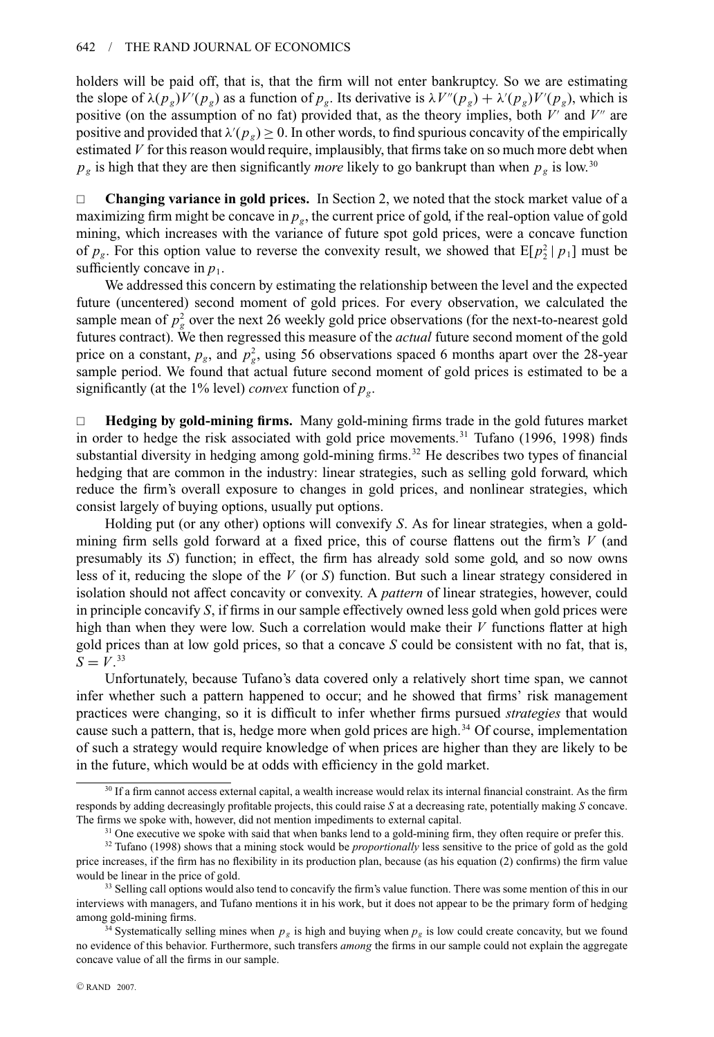holders will be paid off, that is, that the firm will not enter bankruptcy. So we are estimating the slope of  $\lambda(p_g)V'(p_g)$  as a function of  $p_g$ . Its derivative is  $\lambda V''(p_g) + \lambda'(p_g)V'(p_g)$ , which is positive (on the assumption of no fat) provided that, as the theory implies, both  $V'$  and  $V''$  are positive and provided that  $\lambda'(p_g) \ge 0$ . In other words, to find spurious concavity of the empirically estimated  $V$  for this reason would require, implausibly, that firms take on so much more debt when  $p_g$  is high that they are then significantly *more* likely to go bankrupt than when  $p_g$  is low.<sup>30</sup>

 $\Box$  **Changing variance in gold prices.** In Section 2, we noted that the stock market value of a maximizing firm might be concave in *pg*, the current price of gold, if the real-option value of gold mining, which increases with the variance of future spot gold prices, were a concave function of  $p_g$ . For this option value to reverse the convexity result, we showed that  $E[p_2^2 | p_1]$  must be sufficiently concave in  $p_1$ .

We addressed this concern by estimating the relationship between the level and the expected future (uncentered) second moment of gold prices. For every observation, we calculated the sample mean of  $p_g^2$  over the next 26 weekly gold price observations (for the next-to-nearest gold futures contract). We then regressed this measure of the *actual* future second moment of the gold price on a constant,  $p_g$ , and  $p_g^2$ , using 56 observations spaced 6 months apart over the 28-year sample period. We found that actual future second moment of gold prices is estimated to be a significantly (at the 1% level) *convex* function of *pg*.

 $\Box$  **Hedging by gold-mining firms.** Many gold-mining firms trade in the gold futures market in order to hedge the risk associated with gold price movements.<sup>31</sup> Tufano (1996, 1998) finds substantial diversity in hedging among gold-mining firms.<sup>32</sup> He describes two types of financial hedging that are common in the industry: linear strategies, such as selling gold forward, which reduce the firm's overall exposure to changes in gold prices, and nonlinear strategies, which consist largely of buying options, usually put options.

Holding put (or any other) options will convexify *S*. As for linear strategies, when a goldmining firm sells gold forward at a fixed price, this of course flattens out the firm's *V* (and presumably its *S*) function; in effect, the firm has already sold some gold, and so now owns less of it, reducing the slope of the *V* (or *S*) function. But such a linear strategy considered in isolation should not affect concavity or convexity. A *pattern* of linear strategies, however, could in principle concavify *S*, if firms in our sample effectively owned less gold when gold prices were high than when they were low. Such a correlation would make their *V* functions flatter at high gold prices than at low gold prices, so that a concave *S* could be consistent with no fat, that is,  $S = V^{33}$ 

Unfortunately, because Tufano's data covered only a relatively short time span, we cannot infer whether such a pattern happened to occur; and he showed that firms' risk management practices were changing, so it is difficult to infer whether firms pursued *strategies* that would cause such a pattern, that is, hedge more when gold prices are high.34 Of course, implementation of such a strategy would require knowledge of when prices are higher than they are likely to be in the future, which would be at odds with efficiency in the gold market.

<sup>&</sup>lt;sup>30</sup> If a firm cannot access external capital, a wealth increase would relax its internal financial constraint. As the firm responds by adding decreasingly profitable projects, this could raise *S* at a decreasing rate, potentially making *S* concave. The firms we spoke with, however, did not mention impediments to external capital.

<sup>&</sup>lt;sup>31</sup> One executive we spoke with said that when banks lend to a gold-mining firm, they often require or prefer this.

<sup>32</sup> Tufano (1998) shows that a mining stock would be *proportionally* less sensitive to the price of gold as the gold price increases, if the firm has no flexibility in its production plan, because (as his equation (2) confirms) the firm value would be linear in the price of gold.

<sup>&</sup>lt;sup>33</sup> Selling call options would also tend to concavify the firm's value function. There was some mention of this in our interviews with managers, and Tufano mentions it in his work, but it does not appear to be the primary form of hedging among gold-mining firms.

<sup>&</sup>lt;sup>34</sup> Systematically selling mines when  $p_g$  is high and buying when  $p_g$  is low could create concavity, but we found no evidence of this behavior. Furthermore, such transfers *among* the firms in our sample could not explain the aggregate concave value of all the firms in our sample.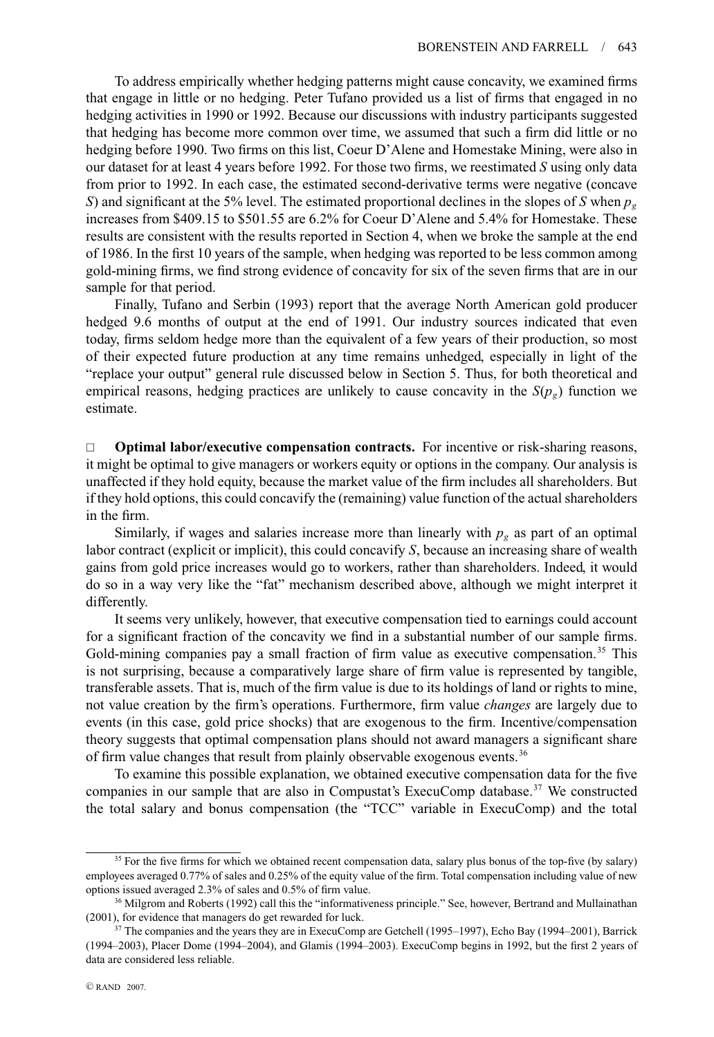To address empirically whether hedging patterns might cause concavity, we examined firms that engage in little or no hedging. Peter Tufano provided us a list of firms that engaged in no hedging activities in 1990 or 1992. Because our discussions with industry participants suggested that hedging has become more common over time, we assumed that such a firm did little or no hedging before 1990. Two firms on this list, Coeur D'Alene and Homestake Mining, were also in our dataset for at least 4 years before 1992. For those two firms, we reestimated *S* using only data from prior to 1992. In each case, the estimated second-derivative terms were negative (concave *S*) and significant at the 5% level. The estimated proportional declines in the slopes of *S* when  $p_g$ increases from \$409.15 to \$501.55 are 6.2% for Coeur D'Alene and 5.4% for Homestake. These results are consistent with the results reported in Section 4, when we broke the sample at the end of 1986. In the first 10 years of the sample, when hedging was reported to be less common among gold-mining firms, we find strong evidence of concavity for six of the seven firms that are in our sample for that period.

Finally, Tufano and Serbin (1993) report that the average North American gold producer hedged 9.6 months of output at the end of 1991. Our industry sources indicated that even today, firms seldom hedge more than the equivalent of a few years of their production, so most of their expected future production at any time remains unhedged, especially in light of the "replace your output" general rule discussed below in Section 5. Thus, for both theoretical and empirical reasons, hedging practices are unlikely to cause concavity in the  $S(p<sub>e</sub>)$  function we estimate.

 $\Box$  **Optimal labor/executive compensation contracts.** For incentive or risk-sharing reasons, it might be optimal to give managers or workers equity or options in the company. Our analysis is unaffected if they hold equity, because the market value of the firm includes all shareholders. But if they hold options, this could concavify the (remaining) value function of the actual shareholders in the firm.

Similarly, if wages and salaries increase more than linearly with  $p_g$  as part of an optimal labor contract (explicit or implicit), this could concavify *S*, because an increasing share of wealth gains from gold price increases would go to workers, rather than shareholders. Indeed, it would do so in a way very like the "fat" mechanism described above, although we might interpret it differently.

It seems very unlikely, however, that executive compensation tied to earnings could account for a significant fraction of the concavity we find in a substantial number of our sample firms. Gold-mining companies pay a small fraction of firm value as executive compensation.<sup>35</sup> This is not surprising, because a comparatively large share of firm value is represented by tangible, transferable assets. That is, much of the firm value is due to its holdings of land or rights to mine, not value creation by the firm's operations. Furthermore, firm value *changes* are largely due to events (in this case, gold price shocks) that are exogenous to the firm. Incentive/compensation theory suggests that optimal compensation plans should not award managers a significant share of firm value changes that result from plainly observable exogenous events.<sup>36</sup>

To examine this possible explanation, we obtained executive compensation data for the five companies in our sample that are also in Compustat's ExecuComp database.<sup>37</sup> We constructed the total salary and bonus compensation (the "TCC" variable in ExecuComp) and the total

<sup>&</sup>lt;sup>35</sup> For the five firms for which we obtained recent compensation data, salary plus bonus of the top-five (by salary) employees averaged 0.77% of sales and 0.25% of the equity value of the firm. Total compensation including value of new options issued averaged 2.3% of sales and 0.5% of firm value.

<sup>&</sup>lt;sup>36</sup> Milgrom and Roberts (1992) call this the "informativeness principle." See, however, Bertrand and Mullainathan (2001), for evidence that managers do get rewarded for luck.

<sup>&</sup>lt;sup>37</sup> The companies and the years they are in ExecuComp are Getchell (1995–1997), Echo Bay (1994–2001), Barrick (1994–2003), Placer Dome (1994–2004), and Glamis (1994–2003). ExecuComp begins in 1992, but the first 2 years of data are considered less reliable.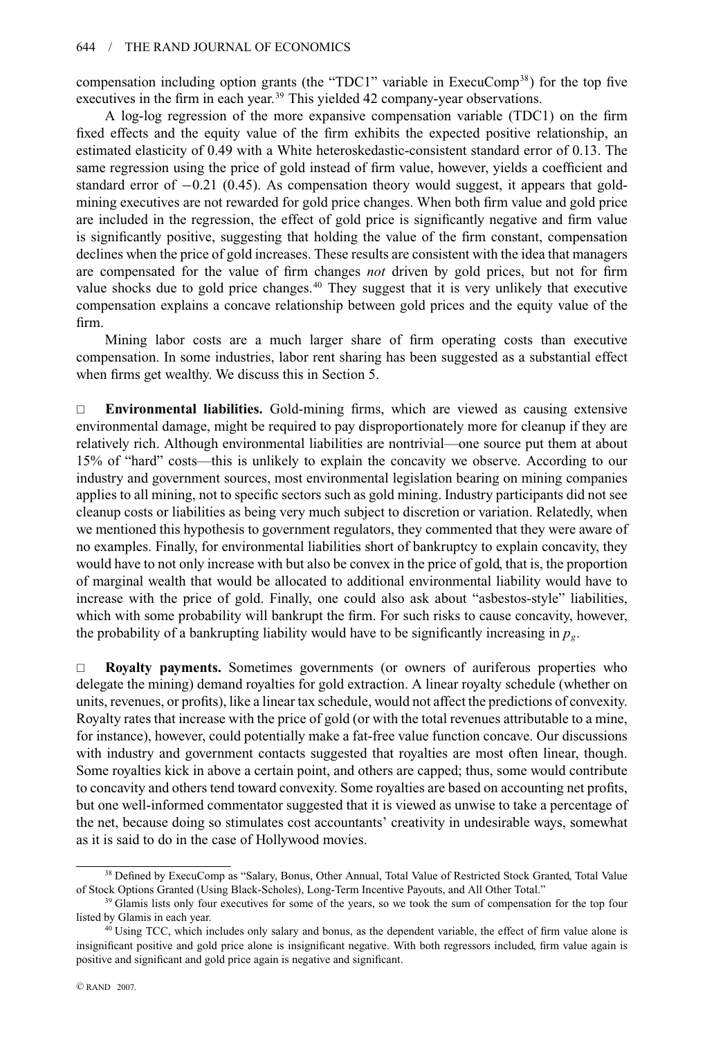compensation including option grants (the "TDC1" variable in ExecuComp<sup>38</sup>) for the top five executives in the firm in each year.<sup>39</sup> This yielded 42 company-year observations.

A log-log regression of the more expansive compensation variable (TDC1) on the firm fixed effects and the equity value of the firm exhibits the expected positive relationship, an estimated elasticity of 0.49 with a White heteroskedastic-consistent standard error of 0.13. The same regression using the price of gold instead of firm value, however, yields a coefficient and standard error of  $-0.21$  (0.45). As compensation theory would suggest, it appears that goldmining executives are not rewarded for gold price changes. When both firm value and gold price are included in the regression, the effect of gold price is significantly negative and firm value is significantly positive, suggesting that holding the value of the firm constant, compensation declines when the price of gold increases. These results are consistent with the idea that managers are compensated for the value of firm changes *not* driven by gold prices, but not for firm value shocks due to gold price changes.<sup>40</sup> They suggest that it is very unlikely that executive compensation explains a concave relationship between gold prices and the equity value of the firm.

Mining labor costs are a much larger share of firm operating costs than executive compensation. In some industries, labor rent sharing has been suggested as a substantial effect when firms get wealthy. We discuss this in Section 5.

 $\Box$  **Environmental liabilities.** Gold-mining firms, which are viewed as causing extensive environmental damage, might be required to pay disproportionately more for cleanup if they are relatively rich. Although environmental liabilities are nontrivial—one source put them at about 15% of "hard" costs—this is unlikely to explain the concavity we observe. According to our industry and government sources, most environmental legislation bearing on mining companies applies to all mining, not to specific sectors such as gold mining. Industry participants did not see cleanup costs or liabilities as being very much subject to discretion or variation. Relatedly, when we mentioned this hypothesis to government regulators, they commented that they were aware of no examples. Finally, for environmental liabilities short of bankruptcy to explain concavity, they would have to not only increase with but also be convex in the price of gold, that is, the proportion of marginal wealth that would be allocated to additional environmental liability would have to increase with the price of gold. Finally, one could also ask about "asbestos-style" liabilities, which with some probability will bankrupt the firm. For such risks to cause concavity, however, the probability of a bankrupting liability would have to be significantly increasing in  $p_g$ .

 $\Box$  **Royalty payments.** Sometimes governments (or owners of auriferous properties who delegate the mining) demand royalties for gold extraction. A linear royalty schedule (whether on units, revenues, or profits), like a linear tax schedule, would not affect the predictions of convexity. Royalty rates that increase with the price of gold (or with the total revenues attributable to a mine, for instance), however, could potentially make a fat-free value function concave. Our discussions with industry and government contacts suggested that royalties are most often linear, though. Some royalties kick in above a certain point, and others are capped; thus, some would contribute to concavity and others tend toward convexity. Some royalties are based on accounting net profits, but one well-informed commentator suggested that it is viewed as unwise to take a percentage of the net, because doing so stimulates cost accountants' creativity in undesirable ways, somewhat as it is said to do in the case of Hollywood movies.

<sup>38</sup> Defined by ExecuComp as "Salary, Bonus, Other Annual, Total Value of Restricted Stock Granted, Total Value of Stock Options Granted (Using Black-Scholes), Long-Term Incentive Payouts, and All Other Total."

<sup>&</sup>lt;sup>39</sup> Glamis lists only four executives for some of the years, so we took the sum of compensation for the top four listed by Glamis in each year.

 $40$  Using TCC, which includes only salary and bonus, as the dependent variable, the effect of firm value alone is insignificant positive and gold price alone is insignificant negative. With both regressors included, firm value again is positive and significant and gold price again is negative and significant.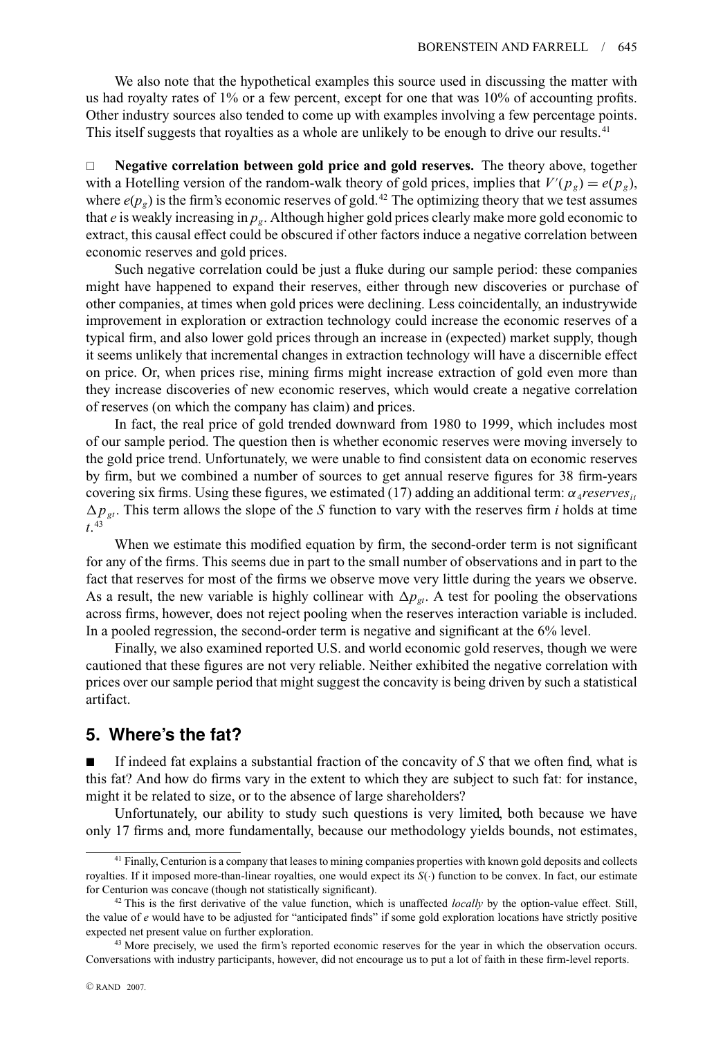We also note that the hypothetical examples this source used in discussing the matter with us had royalty rates of 1% or a few percent, except for one that was 10% of accounting profits. Other industry sources also tended to come up with examples involving a few percentage points. This itself suggests that royalties as a whole are unlikely to be enough to drive our results.<sup>41</sup>

 $\Box$  **Negative correlation between gold price and gold reserves.** The theory above, together with a Hotelling version of the random-walk theory of gold prices, implies that  $V'(p_g) = e(p_g)$ , where  $e(p_g)$  is the firm's economic reserves of gold.<sup>42</sup> The optimizing theory that we test assumes that *e* is weakly increasing in *pg*. Although higher gold prices clearly make more gold economic to extract, this causal effect could be obscured if other factors induce a negative correlation between economic reserves and gold prices.

Such negative correlation could be just a fluke during our sample period: these companies might have happened to expand their reserves, either through new discoveries or purchase of other companies, at times when gold prices were declining. Less coincidentally, an industrywide improvement in exploration or extraction technology could increase the economic reserves of a typical firm, and also lower gold prices through an increase in (expected) market supply, though it seems unlikely that incremental changes in extraction technology will have a discernible effect on price. Or, when prices rise, mining firms might increase extraction of gold even more than they increase discoveries of new economic reserves, which would create a negative correlation of reserves (on which the company has claim) and prices.

In fact, the real price of gold trended downward from 1980 to 1999, which includes most of our sample period. The question then is whether economic reserves were moving inversely to the gold price trend. Unfortunately, we were unable to find consistent data on economic reserves by firm, but we combined a number of sources to get annual reserve figures for 38 firm-years covering six firms. Using these figures, we estimated (17) adding an additional term:  $\alpha_4$ *reserves<sub>it</sub>*  $\Delta p_{gt}$ . This term allows the slope of the *S* function to vary with the reserves firm *i* holds at time *t*. 43

When we estimate this modified equation by firm, the second-order term is not significant for any of the firms. This seems due in part to the small number of observations and in part to the fact that reserves for most of the firms we observe move very little during the years we observe. As a result, the new variable is highly collinear with  $\Delta p_{\nu l}$ . A test for pooling the observations across firms, however, does not reject pooling when the reserves interaction variable is included. In a pooled regression, the second-order term is negative and significant at the 6% level.

Finally, we also examined reported U.S. and world economic gold reserves, though we were cautioned that these figures are not very reliable. Neither exhibited the negative correlation with prices over our sample period that might suggest the concavity is being driven by such a statistical artifact.

### **5. Where's the fat?**

 If indeed fat explains a substantial fraction of the concavity of *S* that we often find, what is this fat? And how do firms vary in the extent to which they are subject to such fat: for instance, might it be related to size, or to the absence of large shareholders?

Unfortunately, our ability to study such questions is very limited, both because we have only 17 firms and, more fundamentally, because our methodology yields bounds, not estimates,

<sup>&</sup>lt;sup>41</sup> Finally, Centurion is a company that leases to mining companies properties with known gold deposits and collects royalties. If it imposed more-than-linear royalties, one would expect its *S*(·) function to be convex. In fact, our estimate for Centurion was concave (though not statistically significant).

<sup>42</sup> This is the first derivative of the value function, which is unaffected *locally* by the option-value effect. Still, the value of *e* would have to be adjusted for "anticipated finds" if some gold exploration locations have strictly positive expected net present value on further exploration.

<sup>&</sup>lt;sup>43</sup> More precisely, we used the firm's reported economic reserves for the year in which the observation occurs. Conversations with industry participants, however, did not encourage us to put a lot of faith in these firm-level reports.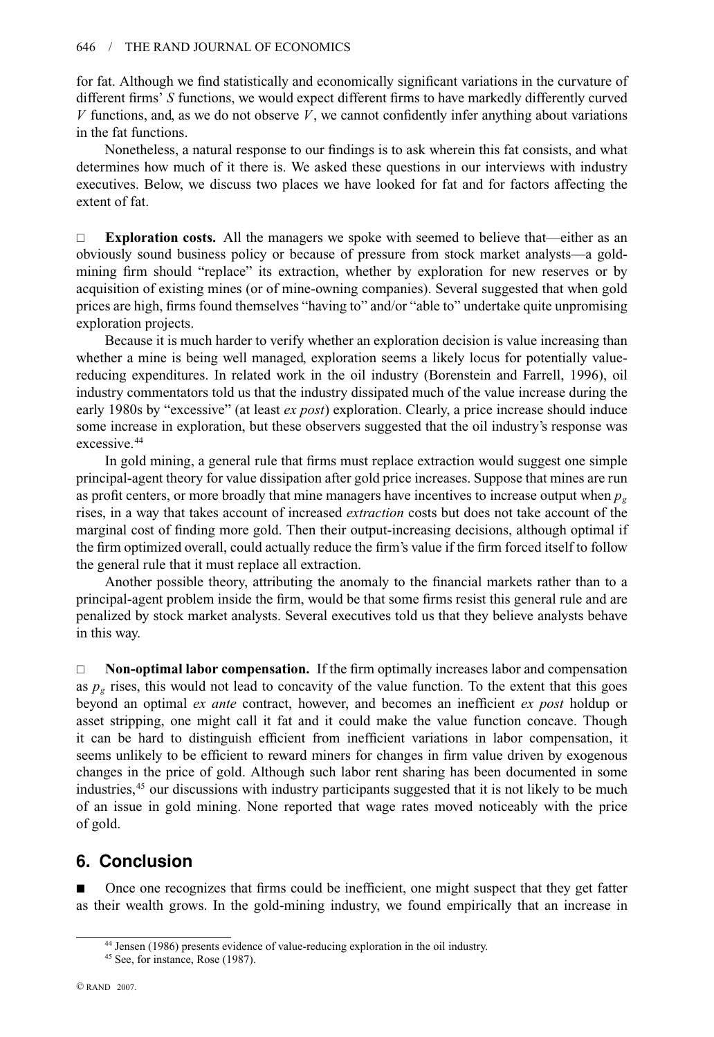for fat. Although we find statistically and economically significant variations in the curvature of different firms' *S* functions, we would expect different firms to have markedly differently curved *V* functions, and, as we do not observe *V*, we cannot confidently infer anything about variations in the fat functions.

Nonetheless, a natural response to our findings is to ask wherein this fat consists, and what determines how much of it there is. We asked these questions in our interviews with industry executives. Below, we discuss two places we have looked for fat and for factors affecting the extent of fat.

 $\Box$ **Exploration costs.** All the managers we spoke with seemed to believe that—either as an obviously sound business policy or because of pressure from stock market analysts—a goldmining firm should "replace" its extraction, whether by exploration for new reserves or by acquisition of existing mines (or of mine-owning companies). Several suggested that when gold prices are high, firms found themselves "having to" and/or "able to" undertake quite unpromising exploration projects.

Because it is much harder to verify whether an exploration decision is value increasing than whether a mine is being well managed, exploration seems a likely locus for potentially valuereducing expenditures. In related work in the oil industry (Borenstein and Farrell, 1996), oil industry commentators told us that the industry dissipated much of the value increase during the early 1980s by "excessive" (at least *ex post*) exploration. Clearly, a price increase should induce some increase in exploration, but these observers suggested that the oil industry's response was excessive.<sup>44</sup>

In gold mining, a general rule that firms must replace extraction would suggest one simple principal-agent theory for value dissipation after gold price increases. Suppose that mines are run as profit centers, or more broadly that mine managers have incentives to increase output when  $p_g$ rises, in a way that takes account of increased *extraction* costs but does not take account of the marginal cost of finding more gold. Then their output-increasing decisions, although optimal if the firm optimized overall, could actually reduce the firm's value if the firm forced itself to follow the general rule that it must replace all extraction.

Another possible theory, attributing the anomaly to the financial markets rather than to a principal-agent problem inside the firm, would be that some firms resist this general rule and are penalized by stock market analysts. Several executives told us that they believe analysts behave in this way.

 $\Box$  **Non-optimal labor compensation.** If the firm optimally increases labor and compensation as  $p<sub>g</sub>$  rises, this would not lead to concavity of the value function. To the extent that this goes beyond an optimal *ex ante* contract, however, and becomes an inefficient *ex post* holdup or asset stripping, one might call it fat and it could make the value function concave. Though it can be hard to distinguish efficient from inefficient variations in labor compensation, it seems unlikely to be efficient to reward miners for changes in firm value driven by exogenous changes in the price of gold. Although such labor rent sharing has been documented in some industries,<sup>45</sup> our discussions with industry participants suggested that it is not likely to be much of an issue in gold mining. None reported that wage rates moved noticeably with the price of gold.

# **6. Conclusion**

 Once one recognizes that firms could be inefficient, one might suspect that they get fatter as their wealth grows. In the gold-mining industry, we found empirically that an increase in

<sup>44</sup> Jensen (1986) presents evidence of value-reducing exploration in the oil industry.

<sup>&</sup>lt;sup>45</sup> See, for instance, Rose (1987).